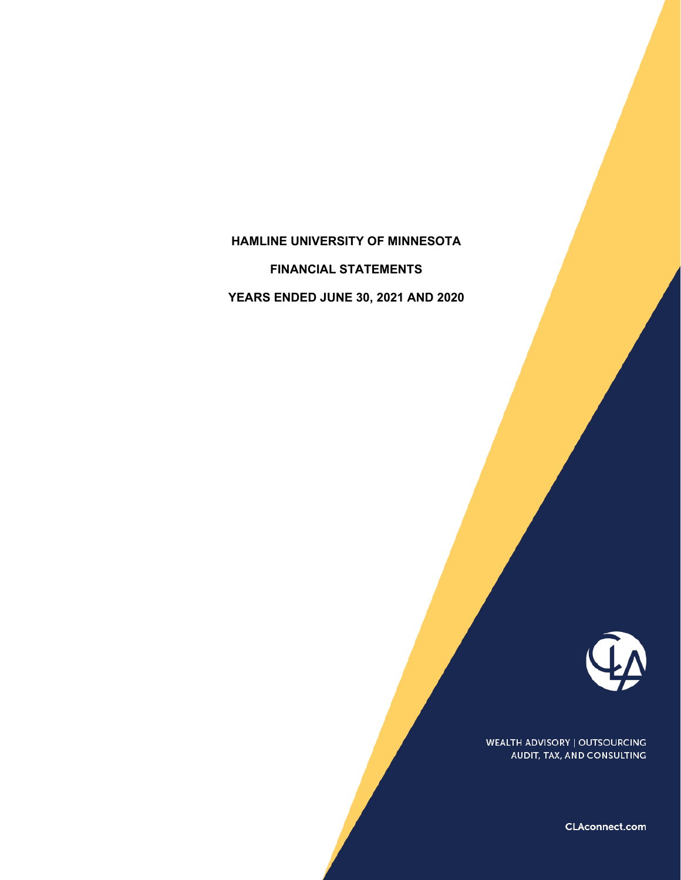# **HAMLINE UNIVERSITY OF MINNESOTA**

**FINANCIAL STATEMENTS** 

**YEARS ENDED JUNE 30, 2021 AND 2020**



WEALTH ADVISORY | OUTSOURCING AUDIT, TAX, AND CONSULTING

CLAconnect.com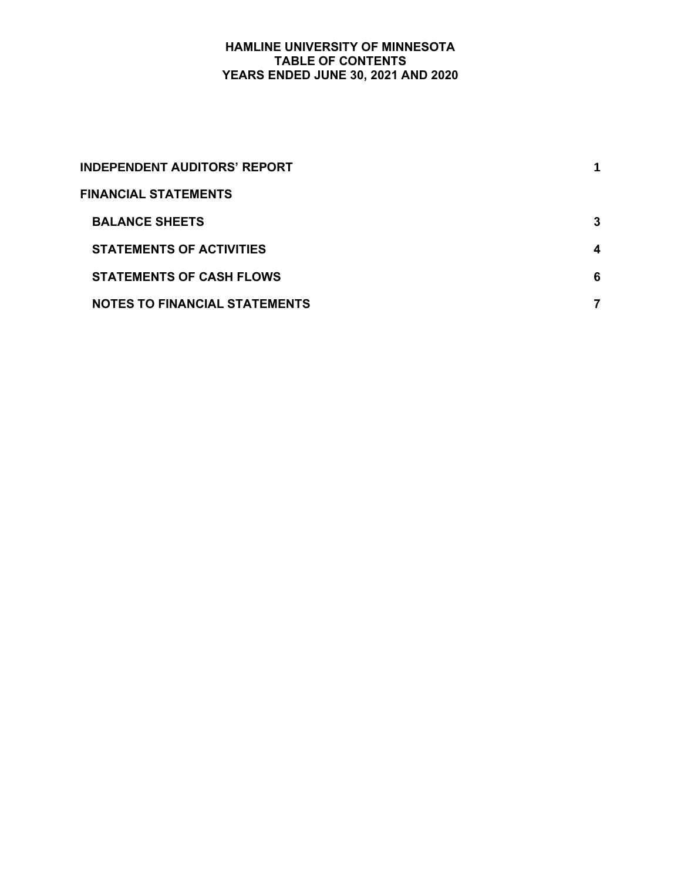## **HAMLINE UNIVERSITY OF MINNESOTA TABLE OF CONTENTS YEARS ENDED JUNE 30, 2021 AND 2020**

| <b>INDEPENDENT AUDITORS' REPORT</b>  |   |
|--------------------------------------|---|
| <b>FINANCIAL STATEMENTS</b>          |   |
| <b>BALANCE SHEETS</b>                | 3 |
| <b>STATEMENTS OF ACTIVITIES</b>      | 4 |
| <b>STATEMENTS OF CASH FLOWS</b>      | 6 |
| <b>NOTES TO FINANCIAL STATEMENTS</b> |   |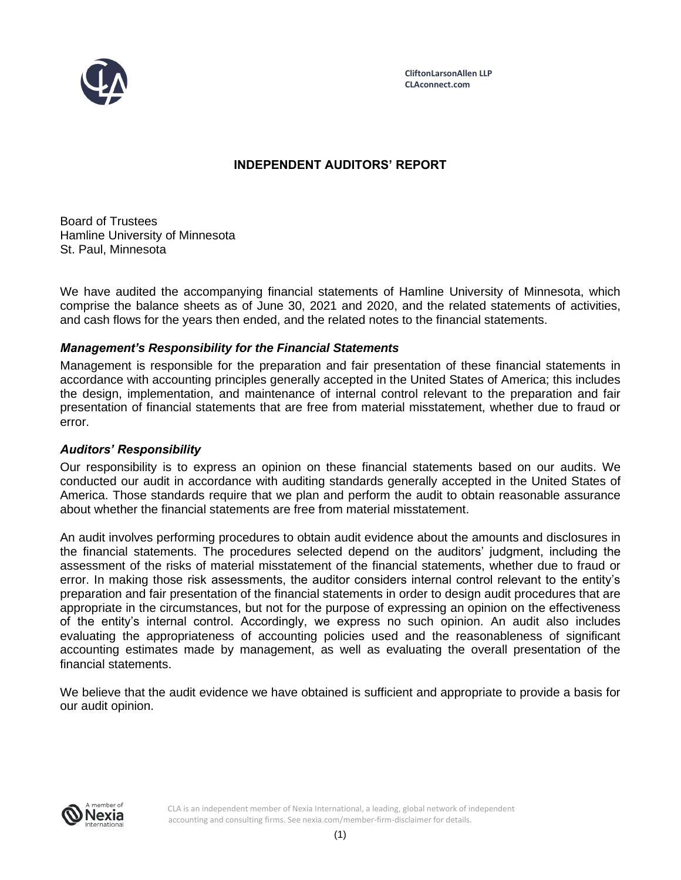

**CliftonLarsonAllen LLP CLAconnect.com**

## **INDEPENDENT AUDITORS' REPORT**

Board of Trustees Hamline University of Minnesota St. Paul, Minnesota

We have audited the accompanying financial statements of Hamline University of Minnesota, which comprise the balance sheets as of June 30, 2021 and 2020, and the related statements of activities, and cash flows for the years then ended, and the related notes to the financial statements.

## *Management's Responsibility for the Financial Statements*

Management is responsible for the preparation and fair presentation of these financial statements in accordance with accounting principles generally accepted in the United States of America; this includes the design, implementation, and maintenance of internal control relevant to the preparation and fair presentation of financial statements that are free from material misstatement, whether due to fraud or error.

## *Auditors' Responsibility*

Our responsibility is to express an opinion on these financial statements based on our audits. We conducted our audit in accordance with auditing standards generally accepted in the United States of America. Those standards require that we plan and perform the audit to obtain reasonable assurance about whether the financial statements are free from material misstatement.

An audit involves performing procedures to obtain audit evidence about the amounts and disclosures in the financial statements. The procedures selected depend on the auditors' judgment, including the assessment of the risks of material misstatement of the financial statements, whether due to fraud or error. In making those risk assessments, the auditor considers internal control relevant to the entity's preparation and fair presentation of the financial statements in order to design audit procedures that are appropriate in the circumstances, but not for the purpose of expressing an opinion on the effectiveness of the entity's internal control. Accordingly, we express no such opinion. An audit also includes evaluating the appropriateness of accounting policies used and the reasonableness of significant accounting estimates made by management, as well as evaluating the overall presentation of the financial statements.

We believe that the audit evidence we have obtained is sufficient and appropriate to provide a basis for our audit opinion.



CLA is an independent member of Nexia International, a leading, global network of independent accounting and consulting firms. See nexia.com/member-firm-disclaimer for details.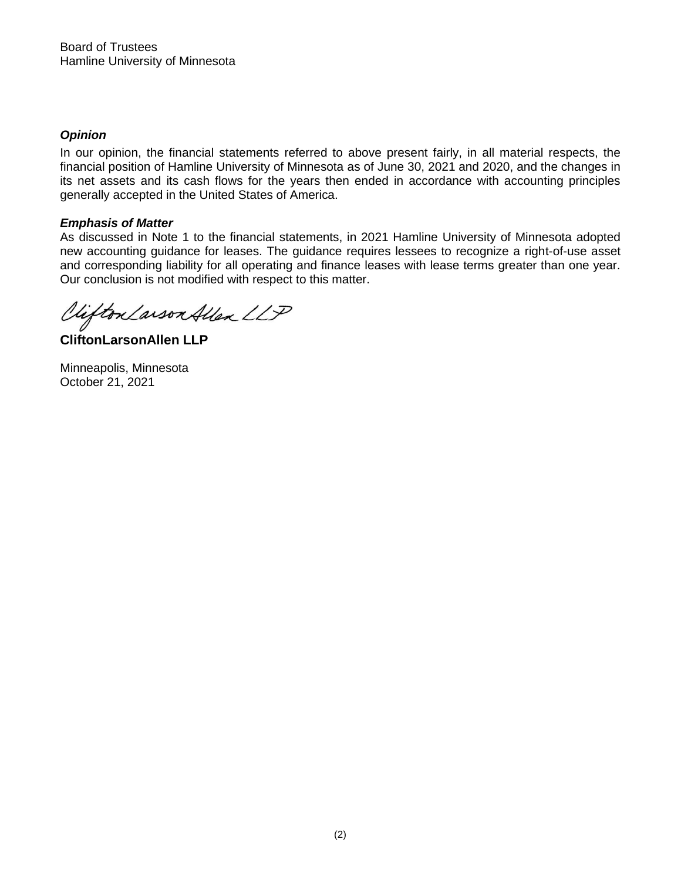# *Opinion*

In our opinion, the financial statements referred to above present fairly, in all material respects, the financial position of Hamline University of Minnesota as of June 30, 2021 and 2020, and the changes in its net assets and its cash flows for the years then ended in accordance with accounting principles generally accepted in the United States of America.

# *Emphasis of Matter*

As discussed in Note 1 to the financial statements, in 2021 Hamline University of Minnesota adopted new accounting guidance for leases. The guidance requires lessees to recognize a right-of-use asset and corresponding liability for all operating and finance leases with lease terms greater than one year. Our conclusion is not modified with respect to this matter.

Clifton Larson Allen LLP

**CliftonLarsonAllen LLP**

Minneapolis, Minnesota October 21, 2021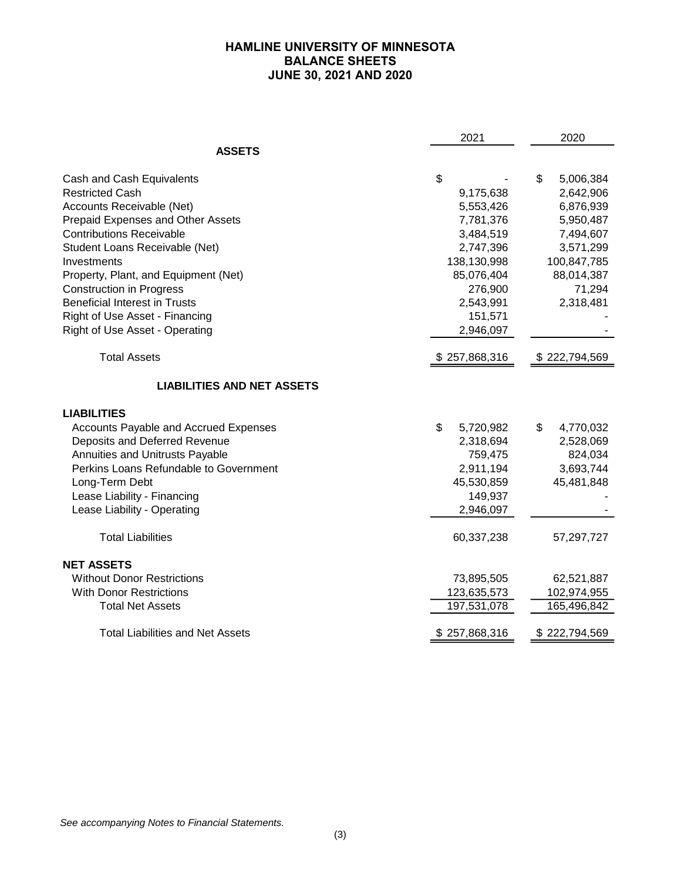## **HAMLINE UNIVERSITY OF MINNESOTA BALANCE SHEETS JUNE 30, 2021 AND 2020**

|                                         | 2021            | 2020            |  |
|-----------------------------------------|-----------------|-----------------|--|
| <b>ASSETS</b>                           |                 |                 |  |
| Cash and Cash Equivalents               | \$              | \$<br>5,006,384 |  |
| <b>Restricted Cash</b>                  | 9,175,638       | 2,642,906       |  |
| Accounts Receivable (Net)               | 5,553,426       | 6,876,939       |  |
| Prepaid Expenses and Other Assets       | 7,781,376       | 5,950,487       |  |
| <b>Contributions Receivable</b>         | 3,484,519       | 7,494,607       |  |
| Student Loans Receivable (Net)          | 2,747,396       | 3,571,299       |  |
| Investments                             | 138,130,998     | 100,847,785     |  |
| Property, Plant, and Equipment (Net)    | 85,076,404      | 88,014,387      |  |
| <b>Construction in Progress</b>         | 276,900         | 71,294          |  |
| <b>Beneficial Interest in Trusts</b>    | 2,543,991       | 2,318,481       |  |
| Right of Use Asset - Financing          | 151,571         |                 |  |
| Right of Use Asset - Operating          | 2,946,097       |                 |  |
| <b>Total Assets</b>                     | \$257,868,316   | \$222,794,569   |  |
| <b>LIABILITIES AND NET ASSETS</b>       |                 |                 |  |
| <b>LIABILITIES</b>                      |                 |                 |  |
| Accounts Payable and Accrued Expenses   | \$<br>5,720,982 | \$<br>4,770,032 |  |
| Deposits and Deferred Revenue           | 2,318,694       | 2,528,069       |  |
| Annuities and Unitrusts Payable         | 759,475         | 824,034         |  |
| Perkins Loans Refundable to Government  | 2,911,194       | 3,693,744       |  |
| Long-Term Debt                          | 45,530,859      | 45,481,848      |  |
| Lease Liability - Financing             | 149,937         |                 |  |
| Lease Liability - Operating             | 2,946,097       |                 |  |
| <b>Total Liabilities</b>                | 60,337,238      | 57,297,727      |  |
| <b>NET ASSETS</b>                       |                 |                 |  |
| <b>Without Donor Restrictions</b>       | 73,895,505      | 62,521,887      |  |
| <b>With Donor Restrictions</b>          | 123,635,573     | 102,974,955     |  |
| <b>Total Net Assets</b>                 | 197,531,078     | 165,496,842     |  |
| <b>Total Liabilities and Net Assets</b> | \$257,868,316   | \$222,794,569   |  |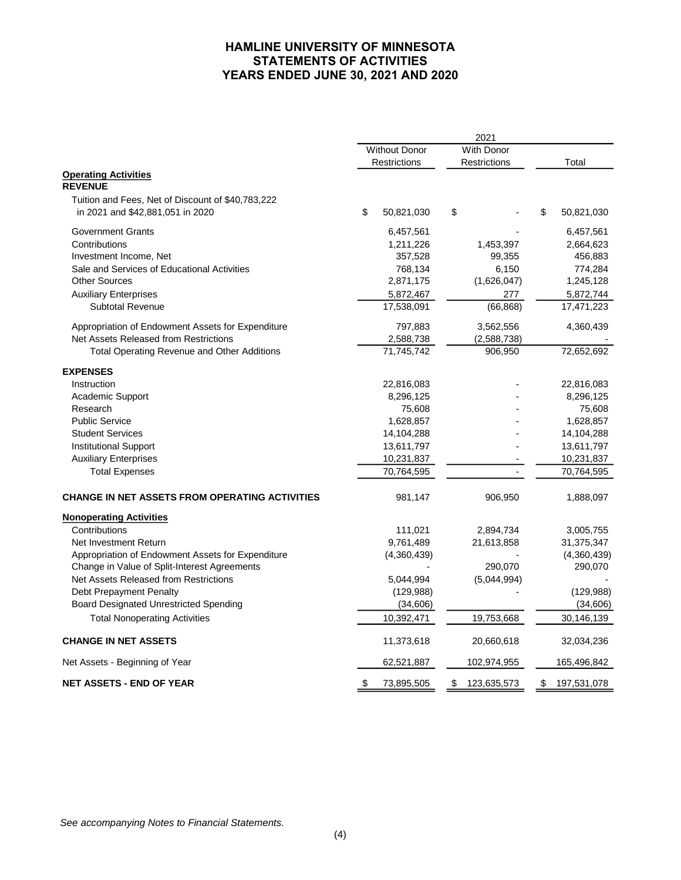## **HAMLINE UNIVERSITY OF MINNESOTA STATEMENTS OF ACTIVITIES YEARS ENDED JUNE 30, 2021 AND 2020**

| <b>Without Donor</b><br>With Donor<br>Restrictions<br>Total<br>Restrictions<br><b>Operating Activities</b><br><b>REVENUE</b><br>Tuition and Fees, Net of Discount of \$40,783,222<br>50,821,030<br>\$<br>50,821,030<br>in 2021 and \$42,881,051 in 2020<br>\$<br>\$<br><b>Government Grants</b><br>6,457,561<br>6,457,561<br>Contributions<br>1,211,226<br>1,453,397<br>2,664,623<br>Investment Income, Net<br>357,528<br>99,355<br>456,883<br>Sale and Services of Educational Activities<br>768,134<br>6,150<br>774,284<br><b>Other Sources</b><br>2,871,175<br>(1,626,047)<br>1,245,128<br><b>Auxiliary Enterprises</b><br>5,872,467<br>277<br>5,872,744<br><b>Subtotal Revenue</b><br>17,538,091<br>17,471,223<br>(66, 868)<br>Appropriation of Endowment Assets for Expenditure<br>797,883<br>3,562,556<br>4,360,439<br>Net Assets Released from Restrictions<br>(2,588,738)<br>2,588,738 |
|------------------------------------------------------------------------------------------------------------------------------------------------------------------------------------------------------------------------------------------------------------------------------------------------------------------------------------------------------------------------------------------------------------------------------------------------------------------------------------------------------------------------------------------------------------------------------------------------------------------------------------------------------------------------------------------------------------------------------------------------------------------------------------------------------------------------------------------------------------------------------------------------|
|                                                                                                                                                                                                                                                                                                                                                                                                                                                                                                                                                                                                                                                                                                                                                                                                                                                                                                |
|                                                                                                                                                                                                                                                                                                                                                                                                                                                                                                                                                                                                                                                                                                                                                                                                                                                                                                |
|                                                                                                                                                                                                                                                                                                                                                                                                                                                                                                                                                                                                                                                                                                                                                                                                                                                                                                |
|                                                                                                                                                                                                                                                                                                                                                                                                                                                                                                                                                                                                                                                                                                                                                                                                                                                                                                |
|                                                                                                                                                                                                                                                                                                                                                                                                                                                                                                                                                                                                                                                                                                                                                                                                                                                                                                |
|                                                                                                                                                                                                                                                                                                                                                                                                                                                                                                                                                                                                                                                                                                                                                                                                                                                                                                |
|                                                                                                                                                                                                                                                                                                                                                                                                                                                                                                                                                                                                                                                                                                                                                                                                                                                                                                |
|                                                                                                                                                                                                                                                                                                                                                                                                                                                                                                                                                                                                                                                                                                                                                                                                                                                                                                |
|                                                                                                                                                                                                                                                                                                                                                                                                                                                                                                                                                                                                                                                                                                                                                                                                                                                                                                |
|                                                                                                                                                                                                                                                                                                                                                                                                                                                                                                                                                                                                                                                                                                                                                                                                                                                                                                |
|                                                                                                                                                                                                                                                                                                                                                                                                                                                                                                                                                                                                                                                                                                                                                                                                                                                                                                |
|                                                                                                                                                                                                                                                                                                                                                                                                                                                                                                                                                                                                                                                                                                                                                                                                                                                                                                |
|                                                                                                                                                                                                                                                                                                                                                                                                                                                                                                                                                                                                                                                                                                                                                                                                                                                                                                |
|                                                                                                                                                                                                                                                                                                                                                                                                                                                                                                                                                                                                                                                                                                                                                                                                                                                                                                |
|                                                                                                                                                                                                                                                                                                                                                                                                                                                                                                                                                                                                                                                                                                                                                                                                                                                                                                |
| 71,745,742<br>72,652,692<br>Total Operating Revenue and Other Additions<br>906,950                                                                                                                                                                                                                                                                                                                                                                                                                                                                                                                                                                                                                                                                                                                                                                                                             |
| <b>EXPENSES</b>                                                                                                                                                                                                                                                                                                                                                                                                                                                                                                                                                                                                                                                                                                                                                                                                                                                                                |
| 22,816,083<br>22,816,083<br>Instruction                                                                                                                                                                                                                                                                                                                                                                                                                                                                                                                                                                                                                                                                                                                                                                                                                                                        |
| Academic Support<br>8,296,125<br>8,296,125                                                                                                                                                                                                                                                                                                                                                                                                                                                                                                                                                                                                                                                                                                                                                                                                                                                     |
| Research<br>75,608<br>75,608                                                                                                                                                                                                                                                                                                                                                                                                                                                                                                                                                                                                                                                                                                                                                                                                                                                                   |
| <b>Public Service</b><br>1,628,857<br>1,628,857                                                                                                                                                                                                                                                                                                                                                                                                                                                                                                                                                                                                                                                                                                                                                                                                                                                |
| <b>Student Services</b><br>14,104,288<br>14,104,288                                                                                                                                                                                                                                                                                                                                                                                                                                                                                                                                                                                                                                                                                                                                                                                                                                            |
| <b>Institutional Support</b><br>13,611,797<br>13,611,797                                                                                                                                                                                                                                                                                                                                                                                                                                                                                                                                                                                                                                                                                                                                                                                                                                       |
| <b>Auxiliary Enterprises</b><br>10,231,837<br>10,231,837                                                                                                                                                                                                                                                                                                                                                                                                                                                                                                                                                                                                                                                                                                                                                                                                                                       |
| 70,764,595<br>70,764,595<br><b>Total Expenses</b>                                                                                                                                                                                                                                                                                                                                                                                                                                                                                                                                                                                                                                                                                                                                                                                                                                              |
| <b>CHANGE IN NET ASSETS FROM OPERATING ACTIVITIES</b><br>906,950<br>981,147<br>1,888,097                                                                                                                                                                                                                                                                                                                                                                                                                                                                                                                                                                                                                                                                                                                                                                                                       |
| <b>Nonoperating Activities</b>                                                                                                                                                                                                                                                                                                                                                                                                                                                                                                                                                                                                                                                                                                                                                                                                                                                                 |
| Contributions<br>111,021<br>2,894,734<br>3,005,755                                                                                                                                                                                                                                                                                                                                                                                                                                                                                                                                                                                                                                                                                                                                                                                                                                             |
| Net Investment Return<br>9,761,489<br>21,613,858<br>31,375,347                                                                                                                                                                                                                                                                                                                                                                                                                                                                                                                                                                                                                                                                                                                                                                                                                                 |
| Appropriation of Endowment Assets for Expenditure<br>(4,360,439)<br>(4,360,439)                                                                                                                                                                                                                                                                                                                                                                                                                                                                                                                                                                                                                                                                                                                                                                                                                |
| Change in Value of Split-Interest Agreements<br>290,070<br>290,070                                                                                                                                                                                                                                                                                                                                                                                                                                                                                                                                                                                                                                                                                                                                                                                                                             |
| Net Assets Released from Restrictions<br>5,044,994<br>(5,044,994)                                                                                                                                                                                                                                                                                                                                                                                                                                                                                                                                                                                                                                                                                                                                                                                                                              |
| Debt Prepayment Penalty<br>(129, 988)<br>(129, 988)                                                                                                                                                                                                                                                                                                                                                                                                                                                                                                                                                                                                                                                                                                                                                                                                                                            |
| <b>Board Designated Unrestricted Spending</b><br>(34, 606)<br>(34, 606)                                                                                                                                                                                                                                                                                                                                                                                                                                                                                                                                                                                                                                                                                                                                                                                                                        |
| 10,392,471<br><b>Total Nonoperating Activities</b><br>19,753,668<br>30,146,139                                                                                                                                                                                                                                                                                                                                                                                                                                                                                                                                                                                                                                                                                                                                                                                                                 |
| <b>CHANGE IN NET ASSETS</b><br>11,373,618<br>20,660,618<br>32,034,236                                                                                                                                                                                                                                                                                                                                                                                                                                                                                                                                                                                                                                                                                                                                                                                                                          |
| Net Assets - Beginning of Year<br>62,521,887<br>102,974,955<br>165,496,842                                                                                                                                                                                                                                                                                                                                                                                                                                                                                                                                                                                                                                                                                                                                                                                                                     |
| NET ASSETS - END OF YEAR<br>\$<br>73,895,505<br>\$<br>123,635,573<br>S<br>197,531,078                                                                                                                                                                                                                                                                                                                                                                                                                                                                                                                                                                                                                                                                                                                                                                                                          |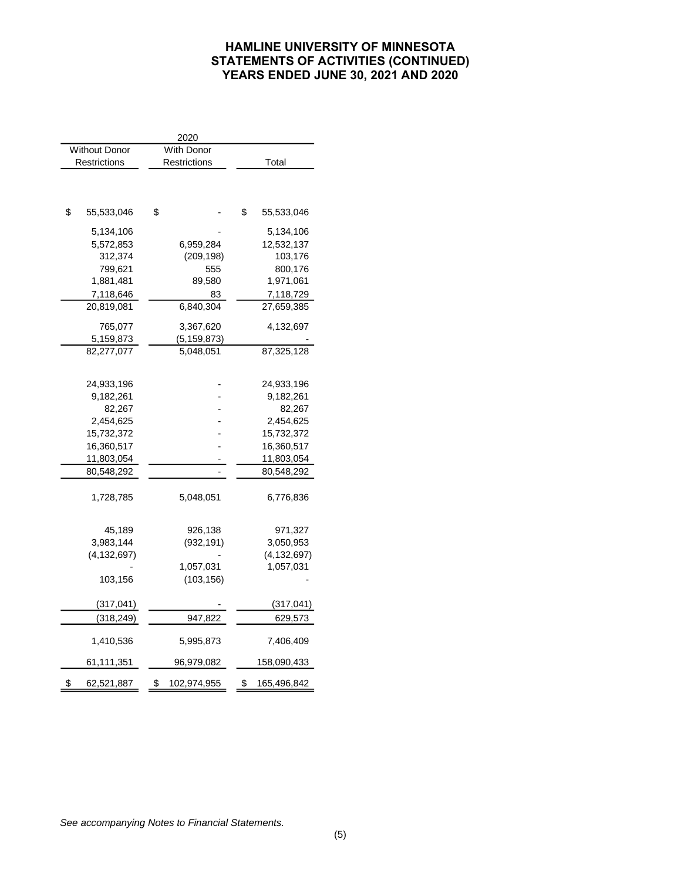## **HAMLINE UNIVERSITY OF MINNESOTA STATEMENTS OF ACTIVITIES (CONTINUED) YEARS ENDED JUNE 30, 2021 AND 2020**

| 2020                     |                   |               |           |                       |  |  |  |
|--------------------------|-------------------|---------------|-----------|-----------------------|--|--|--|
| <b>Without Donor</b>     | <b>With Donor</b> |               |           |                       |  |  |  |
| Restrictions             | Restrictions      |               |           | Total                 |  |  |  |
|                          |                   |               |           |                       |  |  |  |
|                          |                   |               |           |                       |  |  |  |
|                          |                   |               | \$        |                       |  |  |  |
| \$<br>55,533,046         | \$                |               |           | 55,533,046            |  |  |  |
| 5,134,106                |                   |               |           | 5,134,106             |  |  |  |
| 5,572,853                |                   | 6,959,284     |           | 12,532,137            |  |  |  |
| 312,374                  |                   | (209, 198)    |           | 103,176               |  |  |  |
| 799,621                  |                   | 555           |           | 800,176               |  |  |  |
| 1,881,481                |                   | 89,580        |           | 1,971,061             |  |  |  |
| 7,118,646                |                   | 83            |           | 7,118,729             |  |  |  |
| 20,819,081               |                   | 6,840,304     |           | 27,659,385            |  |  |  |
| 765,077                  |                   | 3,367,620     |           | 4,132,697             |  |  |  |
| 5,159,873                |                   | (5, 159, 873) |           |                       |  |  |  |
| 82,277,077               |                   | 5,048,051     |           | 87,325,128            |  |  |  |
|                          |                   |               |           |                       |  |  |  |
| 24,933,196               |                   |               |           | 24,933,196            |  |  |  |
| 9,182,261                |                   |               | 9,182,261 |                       |  |  |  |
| 82,267                   |                   |               |           | 82,267                |  |  |  |
| 2,454,625                |                   |               |           | 2,454,625             |  |  |  |
| 15,732,372               |                   |               |           | 15,732,372            |  |  |  |
| 16,360,517               |                   |               |           | 16,360,517            |  |  |  |
| 11,803,054               |                   |               |           | 11,803,054            |  |  |  |
| 80,548,292               |                   |               |           | 80,548,292            |  |  |  |
|                          |                   |               |           |                       |  |  |  |
| 1,728,785                |                   | 5,048,051     |           | 6,776,836             |  |  |  |
|                          |                   |               |           |                       |  |  |  |
| 45,189                   |                   | 926,138       | 971,327   |                       |  |  |  |
| 3,983,144                |                   | (932, 191)    | 3,050,953 |                       |  |  |  |
| (4, 132, 697)            |                   |               |           | (4, 132, 697)         |  |  |  |
|                          |                   | 1,057,031     |           | 1,057,031             |  |  |  |
| 103,156                  |                   | (103, 156)    |           |                       |  |  |  |
|                          |                   |               |           |                       |  |  |  |
| (317, 041)<br>(318, 249) |                   | 947,822       |           | (317, 041)<br>629,573 |  |  |  |
|                          |                   |               |           |                       |  |  |  |
| 1,410,536                |                   | 5,995,873     |           | 7,406,409             |  |  |  |
| 61,111,351               |                   | 96,979,082    |           | 158,090,433           |  |  |  |
| \$<br>62,521,887         | \$                | 102,974,955   | \$        | 165,496,842           |  |  |  |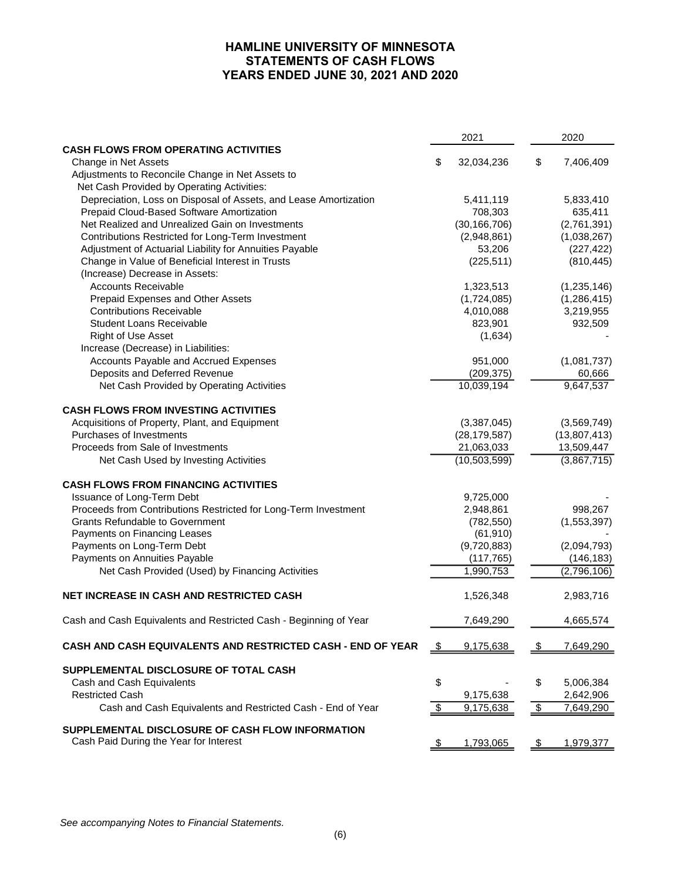## **HAMLINE UNIVERSITY OF MINNESOTA STATEMENTS OF CASH FLOWS YEARS ENDED JUNE 30, 2021 AND 2020**

|                                                                   |                | 2021           |            | 2020          |
|-------------------------------------------------------------------|----------------|----------------|------------|---------------|
| <b>CASH FLOWS FROM OPERATING ACTIVITIES</b>                       |                |                |            |               |
| Change in Net Assets                                              | \$             | 32,034,236     | \$         | 7,406,409     |
| Adjustments to Reconcile Change in Net Assets to                  |                |                |            |               |
| Net Cash Provided by Operating Activities:                        |                |                |            |               |
| Depreciation, Loss on Disposal of Assets, and Lease Amortization  |                | 5,411,119      |            | 5,833,410     |
| Prepaid Cloud-Based Software Amortization                         |                | 708,303        |            | 635,411       |
| Net Realized and Unrealized Gain on Investments                   |                | (30, 166, 706) |            | (2,761,391)   |
| Contributions Restricted for Long-Term Investment                 |                | (2,948,861)    |            | (1,038,267)   |
| Adjustment of Actuarial Liability for Annuities Payable           |                | 53,206         |            | (227, 422)    |
| Change in Value of Beneficial Interest in Trusts                  |                | (225, 511)     |            | (810, 445)    |
| (Increase) Decrease in Assets:                                    |                |                |            |               |
| <b>Accounts Receivable</b>                                        |                | 1,323,513      |            | (1,235,146)   |
| Prepaid Expenses and Other Assets                                 |                | (1,724,085)    |            | (1,286,415)   |
| <b>Contributions Receivable</b>                                   |                | 4,010,088      |            | 3,219,955     |
| <b>Student Loans Receivable</b>                                   |                | 823,901        |            | 932,509       |
| <b>Right of Use Asset</b>                                         |                | (1,634)        |            |               |
| Increase (Decrease) in Liabilities:                               |                |                |            |               |
| Accounts Payable and Accrued Expenses                             |                | 951,000        |            | (1,081,737)   |
| Deposits and Deferred Revenue                                     |                | (209, 375)     |            | 60,666        |
| Net Cash Provided by Operating Activities                         |                | 10,039,194     |            | 9,647,537     |
| <b>CASH FLOWS FROM INVESTING ACTIVITIES</b>                       |                |                |            |               |
| Acquisitions of Property, Plant, and Equipment                    |                | (3,387,045)    |            | (3, 569, 749) |
| Purchases of Investments                                          |                | (28, 179, 587) |            | (13,807,413)  |
| Proceeds from Sale of Investments                                 |                | 21,063,033     |            | 13,509,447    |
| Net Cash Used by Investing Activities                             |                | (10, 503, 599) |            | (3,867,715)   |
| <b>CASH FLOWS FROM FINANCING ACTIVITIES</b>                       |                |                |            |               |
| Issuance of Long-Term Debt                                        |                | 9,725,000      |            |               |
| Proceeds from Contributions Restricted for Long-Term Investment   |                | 2,948,861      |            | 998,267       |
| <b>Grants Refundable to Government</b>                            |                | (782, 550)     |            | (1,553,397)   |
| Payments on Financing Leases                                      |                | (61, 910)      |            |               |
| Payments on Long-Term Debt                                        |                | (9,720,883)    |            | (2,094,793)   |
| Payments on Annuities Payable                                     |                | (117, 765)     |            | (146, 183)    |
| Net Cash Provided (Used) by Financing Activities                  |                | 1,990,753      |            | (2,796,106)   |
| <b>NET INCREASE IN CASH AND RESTRICTED CASH</b>                   |                | 1,526,348      |            | 2,983,716     |
| Cash and Cash Equivalents and Restricted Cash - Beginning of Year |                | 7,649,290      |            | 4,665,574     |
| CASH AND CASH EQUIVALENTS AND RESTRICTED CASH - END OF YEAR       | S.             | 9,175,638      | - \$       | 7,649,290     |
| SUPPLEMENTAL DISCLOSURE OF TOTAL CASH                             |                |                |            |               |
| Cash and Cash Equivalents                                         | \$             |                | \$         | 5,006,384     |
| <b>Restricted Cash</b>                                            |                | 9,175,638      |            | 2,642,906     |
| Cash and Cash Equivalents and Restricted Cash - End of Year       | $\mathfrak{F}$ | 9,175,638      | $\sqrt{3}$ | 7,649,290     |
| SUPPLEMENTAL DISCLOSURE OF CASH FLOW INFORMATION                  |                |                |            |               |
| Cash Paid During the Year for Interest                            | - \$           | 1,793,065      | \$         | 1,979,377     |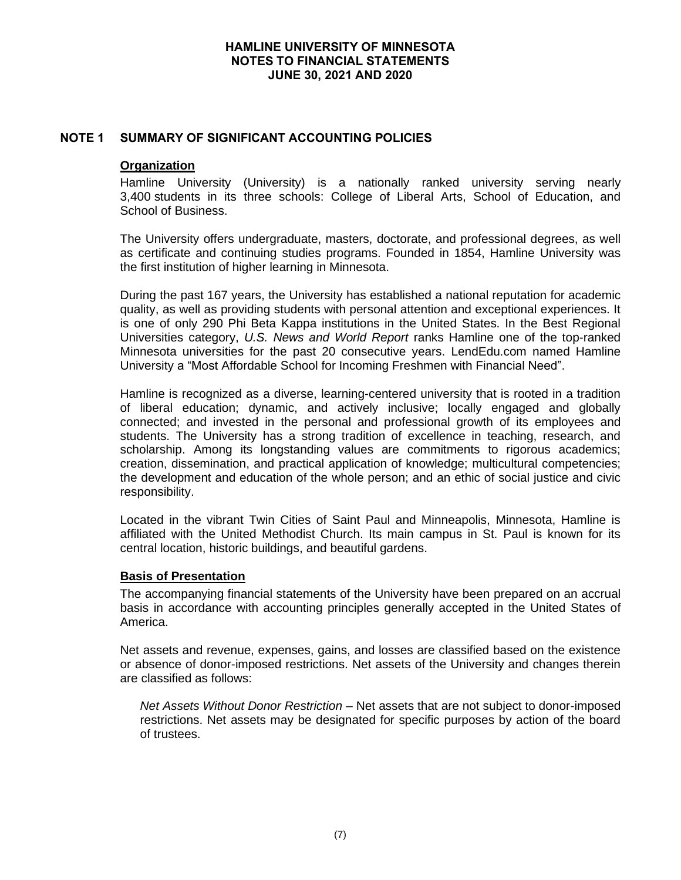## **NOTE 1 SUMMARY OF SIGNIFICANT ACCOUNTING POLICIES**

#### **Organization**

Hamline University (University) is a nationally ranked university serving nearly 3,400 students in its three schools: College of Liberal Arts, School of Education, and School of Business.

The University offers undergraduate, masters, doctorate, and professional degrees, as well as certificate and continuing studies programs. Founded in 1854, Hamline University was the first institution of higher learning in Minnesota.

During the past 167 years, the University has established a national reputation for academic quality, as well as providing students with personal attention and exceptional experiences. It is one of only 290 Phi Beta Kappa institutions in the United States. In the Best Regional Universities category, *U.S. News and World Report* ranks Hamline one of the top-ranked Minnesota universities for the past 20 consecutive years. LendEdu.com named Hamline University a "Most Affordable School for Incoming Freshmen with Financial Need".

Hamline is recognized as a diverse, learning-centered university that is rooted in a tradition of liberal education; dynamic, and actively inclusive; locally engaged and globally connected; and invested in the personal and professional growth of its employees and students. The University has a strong tradition of excellence in teaching, research, and scholarship. Among its longstanding values are commitments to rigorous academics; creation, dissemination, and practical application of knowledge; multicultural competencies; the development and education of the whole person; and an ethic of social justice and civic responsibility.

Located in the vibrant Twin Cities of Saint Paul and Minneapolis, Minnesota, Hamline is affiliated with the United Methodist Church. Its main campus in St. Paul is known for its central location, historic buildings, and beautiful gardens.

#### **Basis of Presentation**

The accompanying financial statements of the University have been prepared on an accrual basis in accordance with accounting principles generally accepted in the United States of America.

Net assets and revenue, expenses, gains, and losses are classified based on the existence or absence of donor-imposed restrictions. Net assets of the University and changes therein are classified as follows:

*Net Assets Without Donor Restriction* – Net assets that are not subject to donor-imposed restrictions. Net assets may be designated for specific purposes by action of the board of trustees.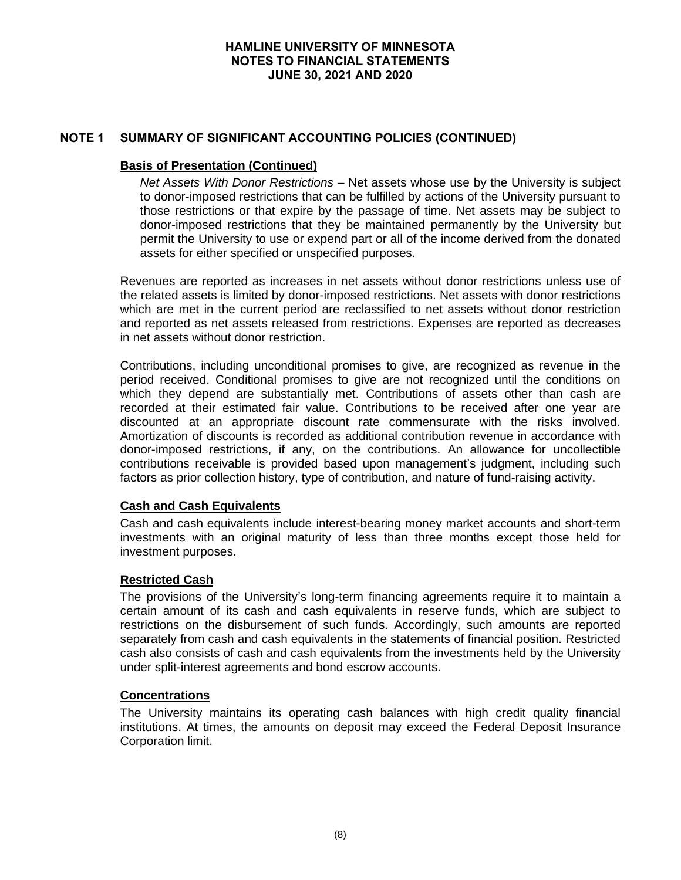## **NOTE 1 SUMMARY OF SIGNIFICANT ACCOUNTING POLICIES (CONTINUED)**

#### **Basis of Presentation (Continued)**

*Net Assets With Donor Restrictions* – Net assets whose use by the University is subject to donor-imposed restrictions that can be fulfilled by actions of the University pursuant to those restrictions or that expire by the passage of time. Net assets may be subject to donor-imposed restrictions that they be maintained permanently by the University but permit the University to use or expend part or all of the income derived from the donated assets for either specified or unspecified purposes.

Revenues are reported as increases in net assets without donor restrictions unless use of the related assets is limited by donor-imposed restrictions. Net assets with donor restrictions which are met in the current period are reclassified to net assets without donor restriction and reported as net assets released from restrictions. Expenses are reported as decreases in net assets without donor restriction.

Contributions, including unconditional promises to give, are recognized as revenue in the period received. Conditional promises to give are not recognized until the conditions on which they depend are substantially met. Contributions of assets other than cash are recorded at their estimated fair value. Contributions to be received after one year are discounted at an appropriate discount rate commensurate with the risks involved. Amortization of discounts is recorded as additional contribution revenue in accordance with donor-imposed restrictions, if any, on the contributions. An allowance for uncollectible contributions receivable is provided based upon management's judgment, including such factors as prior collection history, type of contribution, and nature of fund-raising activity.

#### **Cash and Cash Equivalents**

Cash and cash equivalents include interest-bearing money market accounts and short-term investments with an original maturity of less than three months except those held for investment purposes.

#### **Restricted Cash**

The provisions of the University's long-term financing agreements require it to maintain a certain amount of its cash and cash equivalents in reserve funds, which are subject to restrictions on the disbursement of such funds. Accordingly, such amounts are reported separately from cash and cash equivalents in the statements of financial position. Restricted cash also consists of cash and cash equivalents from the investments held by the University under split-interest agreements and bond escrow accounts.

### **Concentrations**

The University maintains its operating cash balances with high credit quality financial institutions. At times, the amounts on deposit may exceed the Federal Deposit Insurance Corporation limit.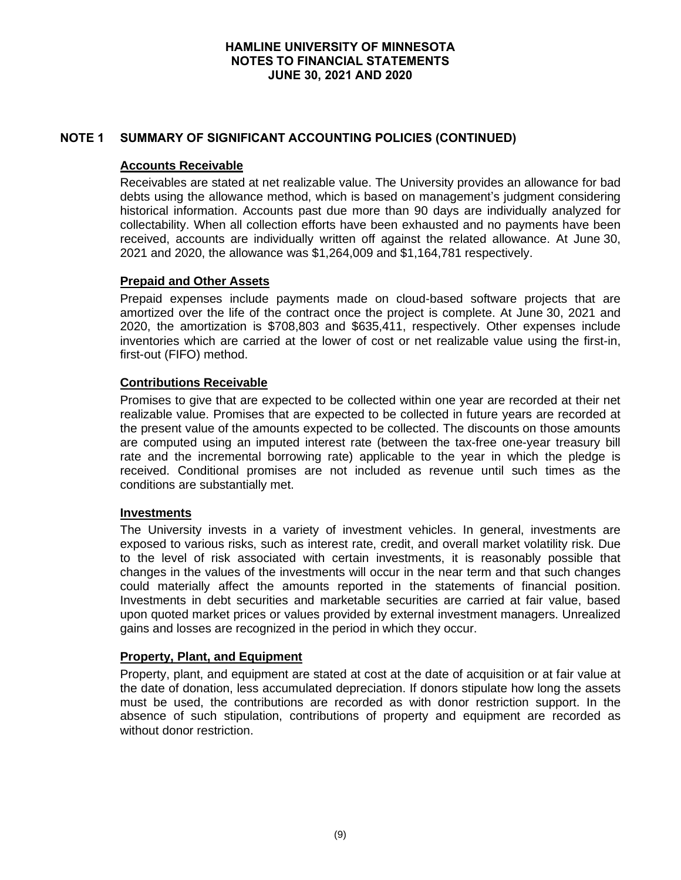## **NOTE 1 SUMMARY OF SIGNIFICANT ACCOUNTING POLICIES (CONTINUED)**

## **Accounts Receivable**

Receivables are stated at net realizable value. The University provides an allowance for bad debts using the allowance method, which is based on management's judgment considering historical information. Accounts past due more than 90 days are individually analyzed for collectability. When all collection efforts have been exhausted and no payments have been received, accounts are individually written off against the related allowance. At June 30, 2021 and 2020, the allowance was \$1,264,009 and \$1,164,781 respectively.

## **Prepaid and Other Assets**

Prepaid expenses include payments made on cloud-based software projects that are amortized over the life of the contract once the project is complete. At June 30, 2021 and 2020, the amortization is \$708,803 and \$635,411, respectively. Other expenses include inventories which are carried at the lower of cost or net realizable value using the first-in, first-out (FIFO) method.

## **Contributions Receivable**

Promises to give that are expected to be collected within one year are recorded at their net realizable value. Promises that are expected to be collected in future years are recorded at the present value of the amounts expected to be collected. The discounts on those amounts are computed using an imputed interest rate (between the tax-free one-year treasury bill rate and the incremental borrowing rate) applicable to the year in which the pledge is received. Conditional promises are not included as revenue until such times as the conditions are substantially met.

#### **Investments**

The University invests in a variety of investment vehicles. In general, investments are exposed to various risks, such as interest rate, credit, and overall market volatility risk. Due to the level of risk associated with certain investments, it is reasonably possible that changes in the values of the investments will occur in the near term and that such changes could materially affect the amounts reported in the statements of financial position. Investments in debt securities and marketable securities are carried at fair value, based upon quoted market prices or values provided by external investment managers. Unrealized gains and losses are recognized in the period in which they occur.

## **Property, Plant, and Equipment**

Property, plant, and equipment are stated at cost at the date of acquisition or at fair value at the date of donation, less accumulated depreciation. If donors stipulate how long the assets must be used, the contributions are recorded as with donor restriction support. In the absence of such stipulation, contributions of property and equipment are recorded as without donor restriction.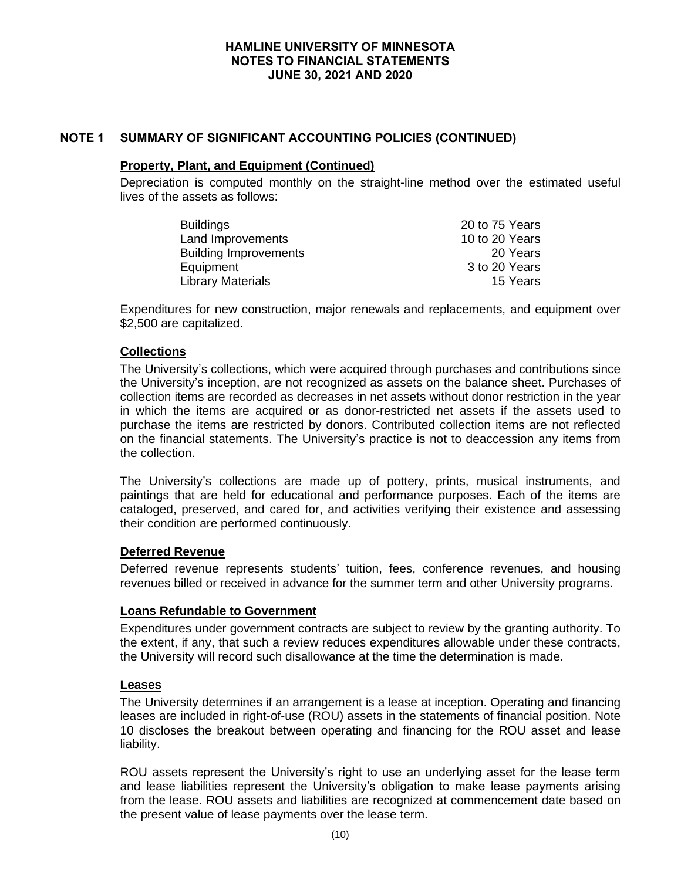## **NOTE 1 SUMMARY OF SIGNIFICANT ACCOUNTING POLICIES (CONTINUED)**

#### **Property, Plant, and Equipment (Continued)**

Depreciation is computed monthly on the straight-line method over the estimated useful lives of the assets as follows:

| <b>Buildings</b>             | 20 to 75 Years |
|------------------------------|----------------|
| Land Improvements            | 10 to 20 Years |
| <b>Building Improvements</b> | 20 Years       |
| Equipment                    | 3 to 20 Years  |
| <b>Library Materials</b>     | 15 Years       |

Expenditures for new construction, major renewals and replacements, and equipment over \$2,500 are capitalized.

#### **Collections**

The University's collections, which were acquired through purchases and contributions since the University's inception, are not recognized as assets on the balance sheet. Purchases of collection items are recorded as decreases in net assets without donor restriction in the year in which the items are acquired or as donor-restricted net assets if the assets used to purchase the items are restricted by donors. Contributed collection items are not reflected on the financial statements. The University's practice is not to deaccession any items from the collection.

The University's collections are made up of pottery, prints, musical instruments, and paintings that are held for educational and performance purposes. Each of the items are cataloged, preserved, and cared for, and activities verifying their existence and assessing their condition are performed continuously.

## **Deferred Revenue**

Deferred revenue represents students' tuition, fees, conference revenues, and housing revenues billed or received in advance for the summer term and other University programs.

#### **Loans Refundable to Government**

Expenditures under government contracts are subject to review by the granting authority. To the extent, if any, that such a review reduces expenditures allowable under these contracts, the University will record such disallowance at the time the determination is made.

#### **Leases**

The University determines if an arrangement is a lease at inception. Operating and financing leases are included in right-of-use (ROU) assets in the statements of financial position. Note 10 discloses the breakout between operating and financing for the ROU asset and lease liability.

ROU assets represent the University's right to use an underlying asset for the lease term and lease liabilities represent the University's obligation to make lease payments arising from the lease. ROU assets and liabilities are recognized at commencement date based on the present value of lease payments over the lease term.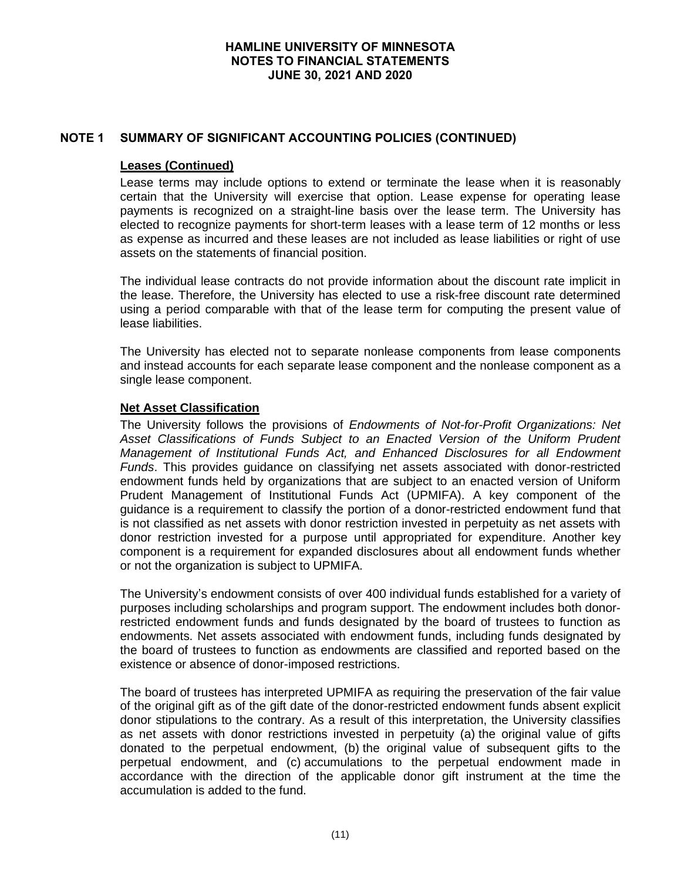## **NOTE 1 SUMMARY OF SIGNIFICANT ACCOUNTING POLICIES (CONTINUED)**

#### **Leases (Continued)**

Lease terms may include options to extend or terminate the lease when it is reasonably certain that the University will exercise that option. Lease expense for operating lease payments is recognized on a straight-line basis over the lease term. The University has elected to recognize payments for short-term leases with a lease term of 12 months or less as expense as incurred and these leases are not included as lease liabilities or right of use assets on the statements of financial position.

The individual lease contracts do not provide information about the discount rate implicit in the lease. Therefore, the University has elected to use a risk-free discount rate determined using a period comparable with that of the lease term for computing the present value of lease liabilities.

The University has elected not to separate nonlease components from lease components and instead accounts for each separate lease component and the nonlease component as a single lease component.

## **Net Asset Classification**

The University follows the provisions of *Endowments of Not-for-Profit Organizations: Net Asset Classifications of Funds Subject to an Enacted Version of the Uniform Prudent Management of Institutional Funds Act, and Enhanced Disclosures for all Endowment Funds*. This provides guidance on classifying net assets associated with donor-restricted endowment funds held by organizations that are subject to an enacted version of Uniform Prudent Management of Institutional Funds Act (UPMIFA). A key component of the guidance is a requirement to classify the portion of a donor-restricted endowment fund that is not classified as net assets with donor restriction invested in perpetuity as net assets with donor restriction invested for a purpose until appropriated for expenditure. Another key component is a requirement for expanded disclosures about all endowment funds whether or not the organization is subject to UPMIFA.

The University's endowment consists of over 400 individual funds established for a variety of purposes including scholarships and program support. The endowment includes both donorrestricted endowment funds and funds designated by the board of trustees to function as endowments. Net assets associated with endowment funds, including funds designated by the board of trustees to function as endowments are classified and reported based on the existence or absence of donor-imposed restrictions.

The board of trustees has interpreted UPMIFA as requiring the preservation of the fair value of the original gift as of the gift date of the donor-restricted endowment funds absent explicit donor stipulations to the contrary. As a result of this interpretation, the University classifies as net assets with donor restrictions invested in perpetuity (a) the original value of gifts donated to the perpetual endowment, (b) the original value of subsequent gifts to the perpetual endowment, and (c) accumulations to the perpetual endowment made in accordance with the direction of the applicable donor gift instrument at the time the accumulation is added to the fund.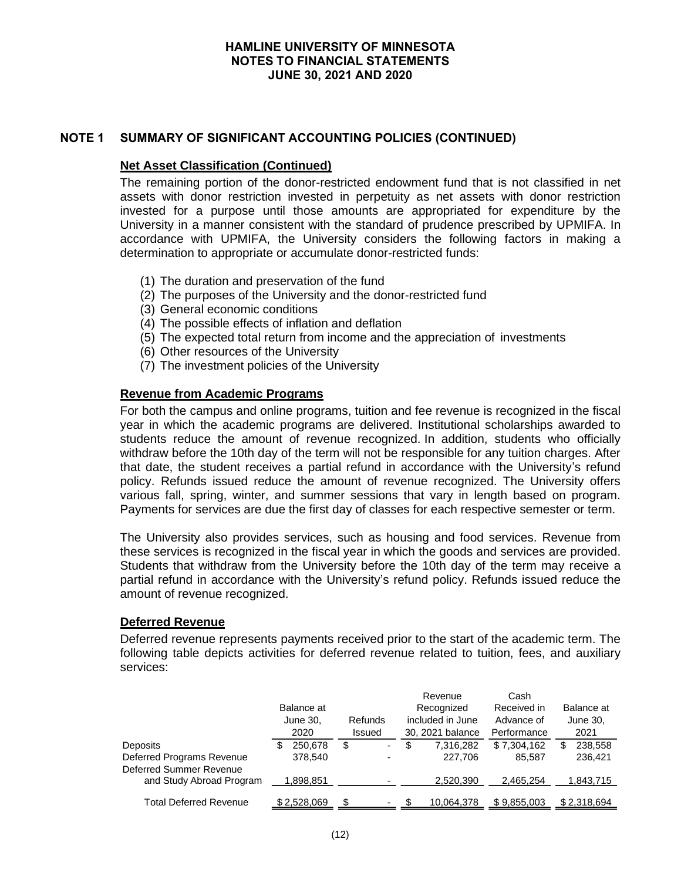## **NOTE 1 SUMMARY OF SIGNIFICANT ACCOUNTING POLICIES (CONTINUED)**

### **Net Asset Classification (Continued)**

The remaining portion of the donor-restricted endowment fund that is not classified in net assets with donor restriction invested in perpetuity as net assets with donor restriction invested for a purpose until those amounts are appropriated for expenditure by the University in a manner consistent with the standard of prudence prescribed by UPMIFA. In accordance with UPMIFA, the University considers the following factors in making a determination to appropriate or accumulate donor-restricted funds:

- (1) The duration and preservation of the fund
- (2) The purposes of the University and the donor-restricted fund
- (3) General economic conditions
- (4) The possible effects of inflation and deflation
- (5) The expected total return from income and the appreciation of investments
- (6) Other resources of the University
- (7) The investment policies of the University

## **Revenue from Academic Programs**

For both the campus and online programs, tuition and fee revenue is recognized in the fiscal year in which the academic programs are delivered. Institutional scholarships awarded to students reduce the amount of revenue recognized. In addition, students who officially withdraw before the 10th day of the term will not be responsible for any tuition charges. After that date, the student receives a partial refund in accordance with the University's refund policy. Refunds issued reduce the amount of revenue recognized. The University offers various fall, spring, winter, and summer sessions that vary in length based on program. Payments for services are due the first day of classes for each respective semester or term.

The University also provides services, such as housing and food services. Revenue from these services is recognized in the fiscal year in which the goods and services are provided. Students that withdraw from the University before the 10th day of the term may receive a partial refund in accordance with the University's refund policy. Refunds issued reduce the amount of revenue recognized.

#### **Deferred Revenue**

Deferred revenue represents payments received prior to the start of the academic term. The following table depicts activities for deferred revenue related to tuition, fees, and auxiliary services:

|                               |                                                |                          | Revenue     | Cash        |               |
|-------------------------------|------------------------------------------------|--------------------------|-------------|-------------|---------------|
|                               | Balance at                                     |                          | Recognized  | Received in | Balance at    |
|                               | included in June<br><b>Refunds</b><br>June 30, |                          | Advance of  | June 30,    |               |
|                               | 2020<br>30, 2021 balance<br>Issued             |                          | Performance | 2021        |               |
| Deposits                      | 250.678<br>S                                   | \$<br>٠                  | 7,316,282   | \$7,304,162 | 238,558<br>\$ |
| Deferred Programs Revenue     | 378.540                                        | $\overline{\phantom{a}}$ | 227.706     | 85.587      | 236.421       |
| Deferred Summer Revenue       |                                                |                          |             |             |               |
| and Study Abroad Program      | 1,898,851                                      | -                        | 2,520,390   | 2.465.254   | 1,843,715     |
| <b>Total Deferred Revenue</b> | \$2,528,069                                    |                          | 10,064,378  | \$9,855,003 | \$2,318,694   |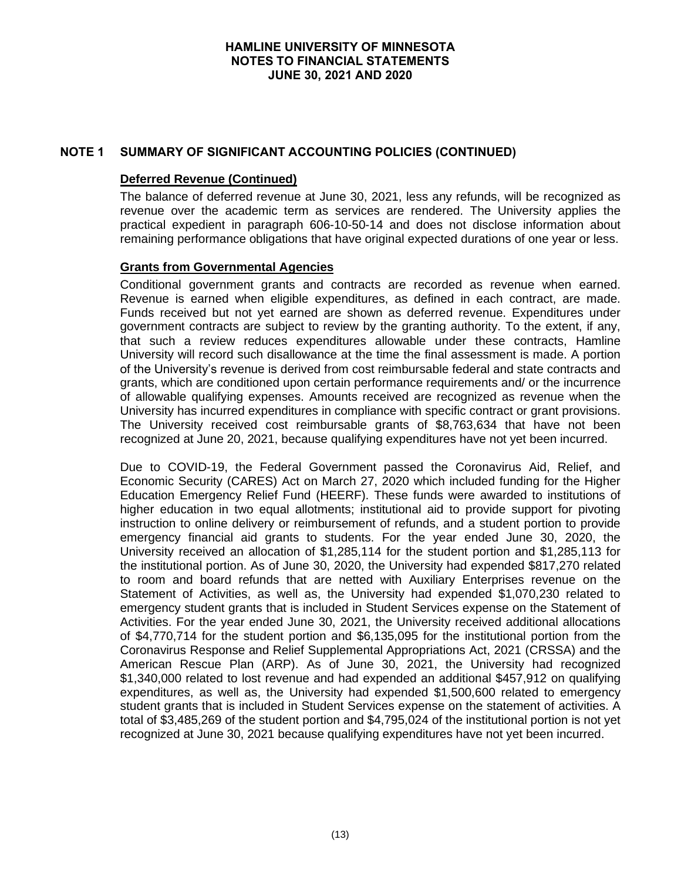## **NOTE 1 SUMMARY OF SIGNIFICANT ACCOUNTING POLICIES (CONTINUED)**

## **Deferred Revenue (Continued)**

The balance of deferred revenue at June 30, 2021, less any refunds, will be recognized as revenue over the academic term as services are rendered. The University applies the practical expedient in paragraph 606-10-50-14 and does not disclose information about remaining performance obligations that have original expected durations of one year or less.

## **Grants from Governmental Agencies**

Conditional government grants and contracts are recorded as revenue when earned. Revenue is earned when eligible expenditures, as defined in each contract, are made. Funds received but not yet earned are shown as deferred revenue. Expenditures under government contracts are subject to review by the granting authority. To the extent, if any, that such a review reduces expenditures allowable under these contracts, Hamline University will record such disallowance at the time the final assessment is made. A portion of the University's revenue is derived from cost reimbursable federal and state contracts and grants, which are conditioned upon certain performance requirements and/ or the incurrence of allowable qualifying expenses. Amounts received are recognized as revenue when the University has incurred expenditures in compliance with specific contract or grant provisions. The University received cost reimbursable grants of \$8,763,634 that have not been recognized at June 20, 2021, because qualifying expenditures have not yet been incurred.

Due to COVID-19, the Federal Government passed the Coronavirus Aid, Relief, and Economic Security (CARES) Act on March 27, 2020 which included funding for the Higher Education Emergency Relief Fund (HEERF). These funds were awarded to institutions of higher education in two equal allotments; institutional aid to provide support for pivoting instruction to online delivery or reimbursement of refunds, and a student portion to provide emergency financial aid grants to students. For the year ended June 30, 2020, the University received an allocation of \$1,285,114 for the student portion and \$1,285,113 for the institutional portion. As of June 30, 2020, the University had expended \$817,270 related to room and board refunds that are netted with Auxiliary Enterprises revenue on the Statement of Activities, as well as, the University had expended \$1,070,230 related to emergency student grants that is included in Student Services expense on the Statement of Activities. For the year ended June 30, 2021, the University received additional allocations of \$4,770,714 for the student portion and \$6,135,095 for the institutional portion from the Coronavirus Response and Relief Supplemental Appropriations Act, 2021 (CRSSA) and the American Rescue Plan (ARP). As of June 30, 2021, the University had recognized \$1,340,000 related to lost revenue and had expended an additional \$457,912 on qualifying expenditures, as well as, the University had expended \$1,500,600 related to emergency student grants that is included in Student Services expense on the statement of activities. A total of \$3,485,269 of the student portion and \$4,795,024 of the institutional portion is not yet recognized at June 30, 2021 because qualifying expenditures have not yet been incurred.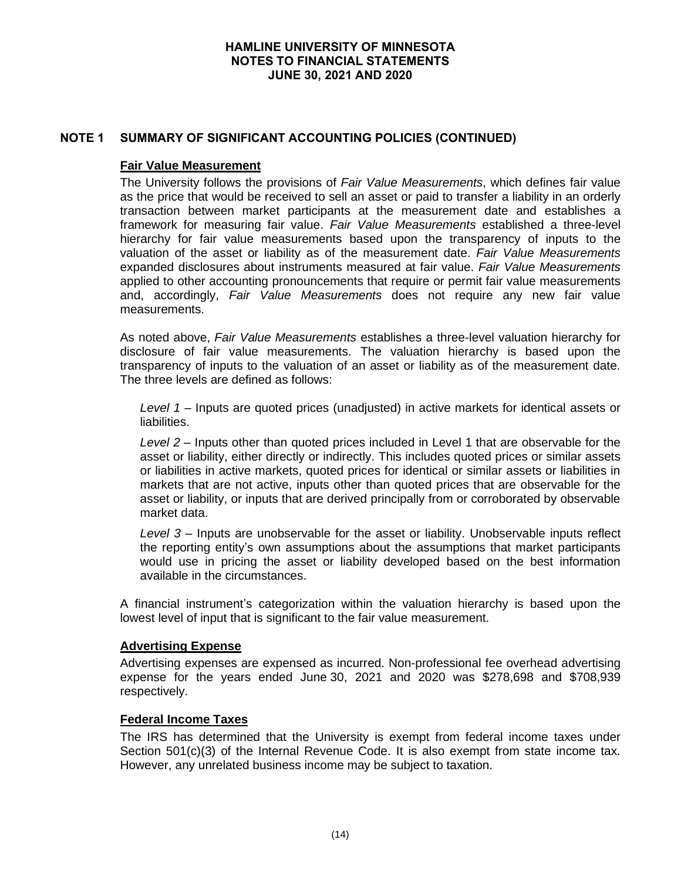## **NOTE 1 SUMMARY OF SIGNIFICANT ACCOUNTING POLICIES (CONTINUED)**

#### **Fair Value Measurement**

The University follows the provisions of *Fair Value Measurements*, which defines fair value as the price that would be received to sell an asset or paid to transfer a liability in an orderly transaction between market participants at the measurement date and establishes a framework for measuring fair value. *Fair Value Measurements* established a three-level hierarchy for fair value measurements based upon the transparency of inputs to the valuation of the asset or liability as of the measurement date. *Fair Value Measurements* expanded disclosures about instruments measured at fair value. *Fair Value Measurements* applied to other accounting pronouncements that require or permit fair value measurements and, accordingly, *Fair Value Measurements* does not require any new fair value measurements.

As noted above, *Fair Value Measurements* establishes a three-level valuation hierarchy for disclosure of fair value measurements. The valuation hierarchy is based upon the transparency of inputs to the valuation of an asset or liability as of the measurement date. The three levels are defined as follows:

*Level 1* – Inputs are quoted prices (unadjusted) in active markets for identical assets or liabilities.

*Level 2* – Inputs other than quoted prices included in Level 1 that are observable for the asset or liability, either directly or indirectly. This includes quoted prices or similar assets or liabilities in active markets, quoted prices for identical or similar assets or liabilities in markets that are not active, inputs other than quoted prices that are observable for the asset or liability, or inputs that are derived principally from or corroborated by observable market data.

*Level 3* – Inputs are unobservable for the asset or liability. Unobservable inputs reflect the reporting entity's own assumptions about the assumptions that market participants would use in pricing the asset or liability developed based on the best information available in the circumstances.

A financial instrument's categorization within the valuation hierarchy is based upon the lowest level of input that is significant to the fair value measurement.

#### **Advertising Expense**

Advertising expenses are expensed as incurred. Non-professional fee overhead advertising expense for the years ended June 30, 2021 and 2020 was \$278,698 and \$708,939 respectively.

#### **Federal Income Taxes**

The IRS has determined that the University is exempt from federal income taxes under Section 501(c)(3) of the Internal Revenue Code. It is also exempt from state income tax. However, any unrelated business income may be subject to taxation.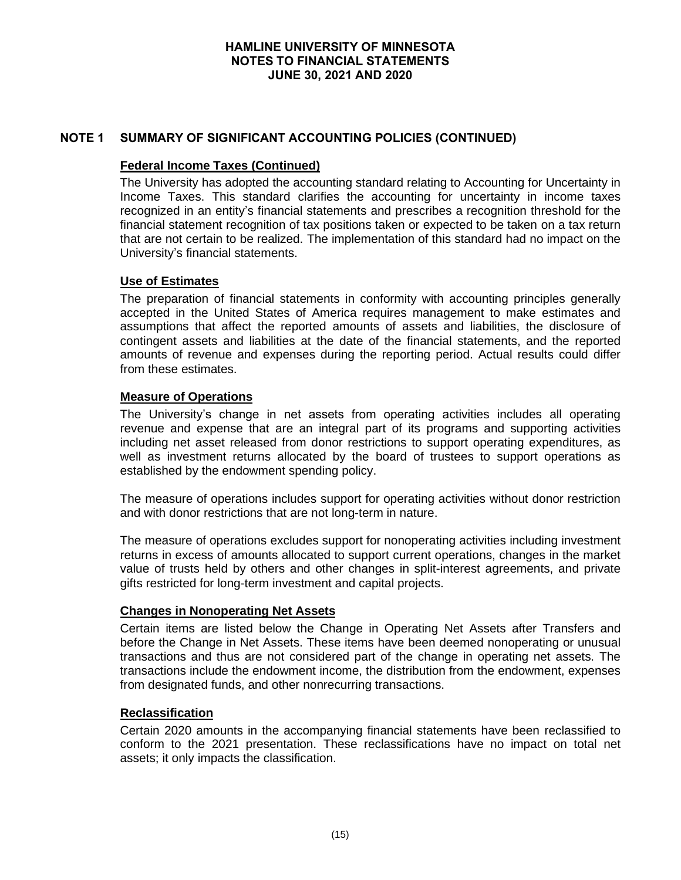## **NOTE 1 SUMMARY OF SIGNIFICANT ACCOUNTING POLICIES (CONTINUED)**

## **Federal Income Taxes (Continued)**

The University has adopted the accounting standard relating to Accounting for Uncertainty in Income Taxes. This standard clarifies the accounting for uncertainty in income taxes recognized in an entity's financial statements and prescribes a recognition threshold for the financial statement recognition of tax positions taken or expected to be taken on a tax return that are not certain to be realized. The implementation of this standard had no impact on the University's financial statements.

## **Use of Estimates**

The preparation of financial statements in conformity with accounting principles generally accepted in the United States of America requires management to make estimates and assumptions that affect the reported amounts of assets and liabilities, the disclosure of contingent assets and liabilities at the date of the financial statements, and the reported amounts of revenue and expenses during the reporting period. Actual results could differ from these estimates.

## **Measure of Operations**

The University's change in net assets from operating activities includes all operating revenue and expense that are an integral part of its programs and supporting activities including net asset released from donor restrictions to support operating expenditures, as well as investment returns allocated by the board of trustees to support operations as established by the endowment spending policy.

The measure of operations includes support for operating activities without donor restriction and with donor restrictions that are not long-term in nature.

The measure of operations excludes support for nonoperating activities including investment returns in excess of amounts allocated to support current operations, changes in the market value of trusts held by others and other changes in split-interest agreements, and private gifts restricted for long-term investment and capital projects.

#### **Changes in Nonoperating Net Assets**

Certain items are listed below the Change in Operating Net Assets after Transfers and before the Change in Net Assets. These items have been deemed nonoperating or unusual transactions and thus are not considered part of the change in operating net assets. The transactions include the endowment income, the distribution from the endowment, expenses from designated funds, and other nonrecurring transactions.

#### **Reclassification**

Certain 2020 amounts in the accompanying financial statements have been reclassified to conform to the 2021 presentation. These reclassifications have no impact on total net assets; it only impacts the classification.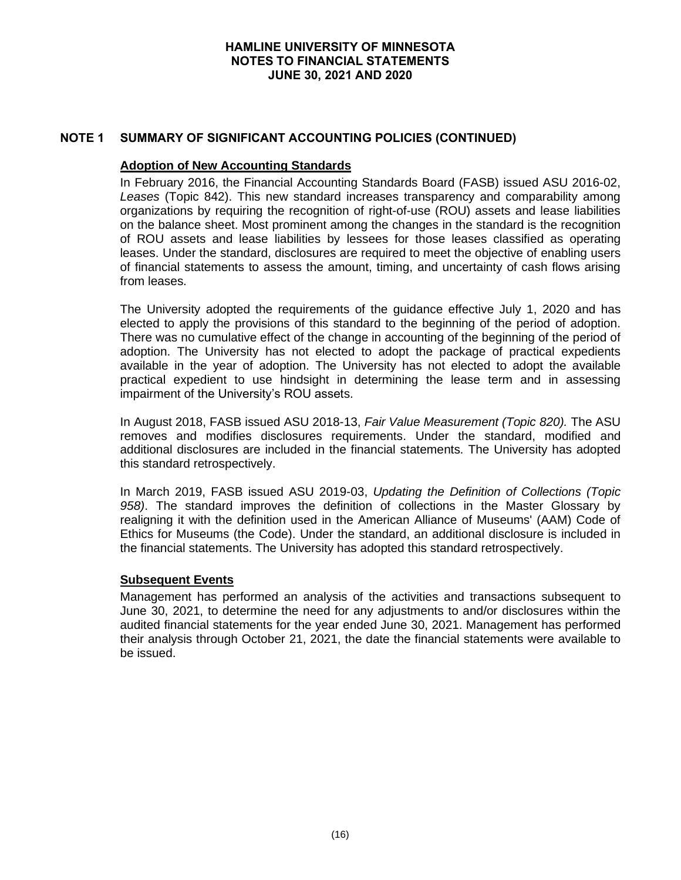## **NOTE 1 SUMMARY OF SIGNIFICANT ACCOUNTING POLICIES (CONTINUED)**

#### **Adoption of New Accounting Standards**

In February 2016, the Financial Accounting Standards Board (FASB) issued ASU 2016-02, *Leases* (Topic 842). This new standard increases transparency and comparability among organizations by requiring the recognition of right-of-use (ROU) assets and lease liabilities on the balance sheet. Most prominent among the changes in the standard is the recognition of ROU assets and lease liabilities by lessees for those leases classified as operating leases. Under the standard, disclosures are required to meet the objective of enabling users of financial statements to assess the amount, timing, and uncertainty of cash flows arising from leases.

The University adopted the requirements of the guidance effective July 1, 2020 and has elected to apply the provisions of this standard to the beginning of the period of adoption. There was no cumulative effect of the change in accounting of the beginning of the period of adoption. The University has not elected to adopt the package of practical expedients available in the year of adoption. The University has not elected to adopt the available practical expedient to use hindsight in determining the lease term and in assessing impairment of the University's ROU assets.

In August 2018, FASB issued ASU 2018-13, *Fair Value Measurement (Topic 820).* The ASU removes and modifies disclosures requirements. Under the standard, modified and additional disclosures are included in the financial statements. The University has adopted this standard retrospectively.

In March 2019, FASB issued ASU 2019-03, *Updating the Definition of Collections (Topic 958)*. The standard improves the definition of collections in the Master Glossary by realigning it with the definition used in the American Alliance of Museums' (AAM) Code of Ethics for Museums (the Code). Under the standard, an additional disclosure is included in the financial statements. The University has adopted this standard retrospectively.

#### **Subsequent Events**

Management has performed an analysis of the activities and transactions subsequent to June 30, 2021, to determine the need for any adjustments to and/or disclosures within the audited financial statements for the year ended June 30, 2021. Management has performed their analysis through October 21, 2021, the date the financial statements were available to be issued.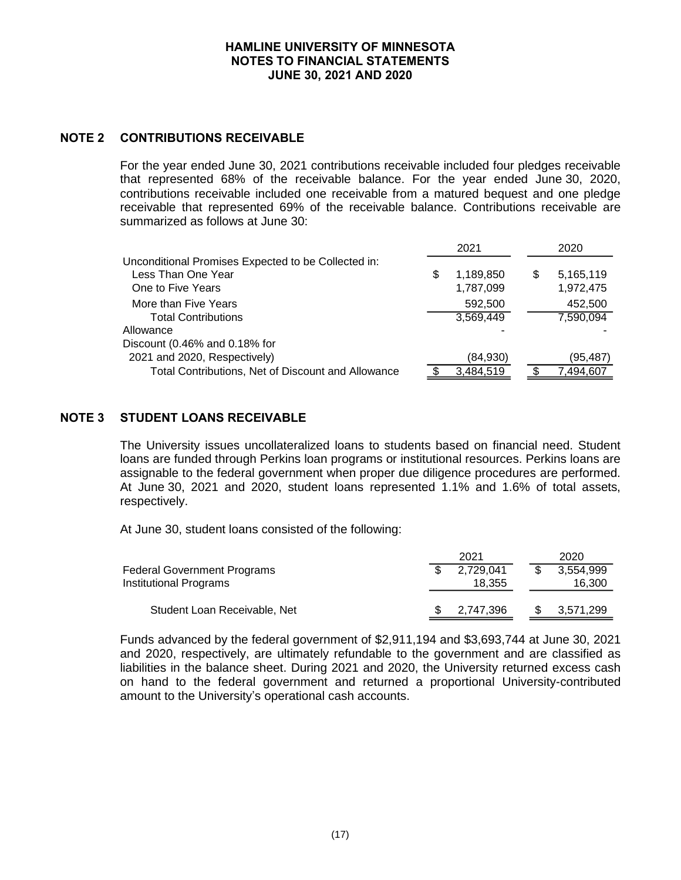### **NOTE 2 CONTRIBUTIONS RECEIVABLE**

For the year ended June 30, 2021 contributions receivable included four pledges receivable that represented 68% of the receivable balance. For the year ended June 30, 2020, contributions receivable included one receivable from a matured bequest and one pledge receivable that represented 69% of the receivable balance. Contributions receivable are summarized as follows at June 30:

|                                                                                                |     | 2021                   |   | 2020                   |
|------------------------------------------------------------------------------------------------|-----|------------------------|---|------------------------|
| Unconditional Promises Expected to be Collected in:<br>Less Than One Year<br>One to Five Years | \$. | 1,189,850<br>1,787,099 | S | 5,165,119<br>1,972,475 |
| More than Five Years<br><b>Total Contributions</b>                                             |     | 592,500<br>3,569,449   |   | 452,500<br>7,590,094   |
| Allowance                                                                                      |     |                        |   |                        |
| Discount (0.46% and 0.18% for                                                                  |     |                        |   |                        |
| 2021 and 2020, Respectively)                                                                   |     | (84, 930)              |   | (95,487)               |
| Total Contributions, Net of Discount and Allowance                                             |     | 3,484,519              |   | 7,494,607              |

## **NOTE 3 STUDENT LOANS RECEIVABLE**

The University issues uncollateralized loans to students based on financial need. Student loans are funded through Perkins loan programs or institutional resources. Perkins loans are assignable to the federal government when proper due diligence procedures are performed. At June 30, 2021 and 2020, student loans represented 1.1% and 1.6% of total assets, respectively.

At June 30, student loans consisted of the following:

|                                                       | 2021                | 2020                |
|-------------------------------------------------------|---------------------|---------------------|
| Federal Government Programs<br>Institutional Programs | 2,729,041<br>18.355 | 3,554,999<br>16,300 |
| Student Loan Receivable, Net                          | 2,747,396           | 3,571,299           |

Funds advanced by the federal government of \$2,911,194 and \$3,693,744 at June 30, 2021 and 2020, respectively, are ultimately refundable to the government and are classified as liabilities in the balance sheet. During 2021 and 2020, the University returned excess cash on hand to the federal government and returned a proportional University-contributed amount to the University's operational cash accounts.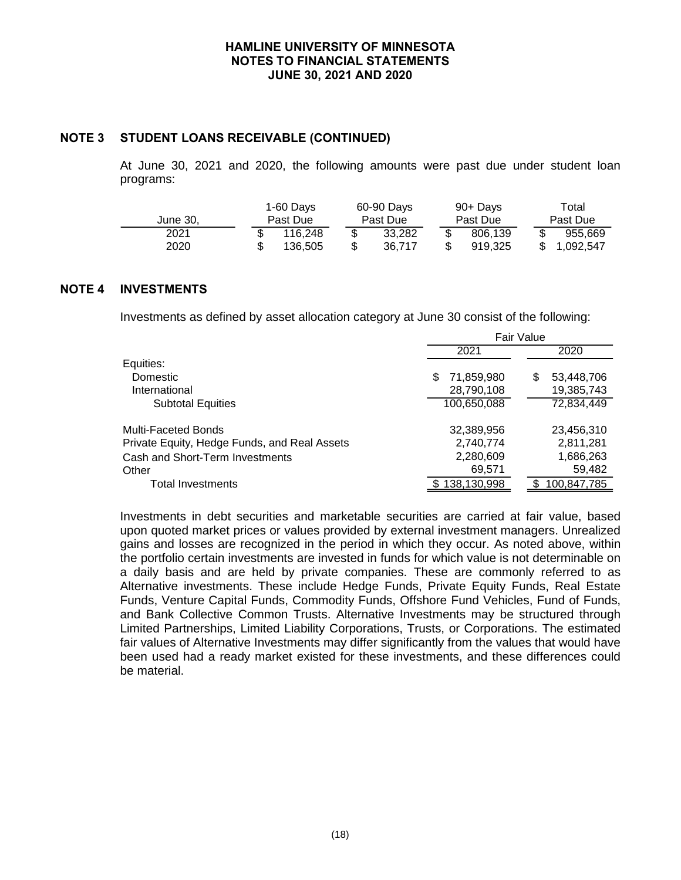#### **NOTE 3 STUDENT LOANS RECEIVABLE (CONTINUED)**

At June 30, 2021 and 2020, the following amounts were past due under student loan programs:

|          | 1-60 Days |          | 60-90 Days |          | 90+ Days | Total     |  |  |
|----------|-----------|----------|------------|----------|----------|-----------|--|--|
| June 30. |           | Past Due |            | Past Due | Past Due | Past Due  |  |  |
| 2021     |           | 116.248  |            | 33.282   | 806.139  | 955.669   |  |  |
| 2020     |           | 136.505  |            | 36.717   | 919.325  | 1.092.547 |  |  |

## **NOTE 4 INVESTMENTS**

Investments as defined by asset allocation category at June 30 consist of the following:

|                                              |   | Fair Value  |   |             |  |  |
|----------------------------------------------|---|-------------|---|-------------|--|--|
|                                              |   | 2021        |   | 2020        |  |  |
| Equities:                                    |   |             |   |             |  |  |
| Domestic                                     | S | 71,859,980  | S | 53,448,706  |  |  |
| International                                |   | 28,790,108  |   | 19,385,743  |  |  |
| <b>Subtotal Equities</b>                     |   | 100,650,088 |   | 72,834,449  |  |  |
| Multi-Faceted Bonds                          |   | 32,389,956  |   | 23,456,310  |  |  |
| Private Equity, Hedge Funds, and Real Assets |   | 2,740,774   |   | 2,811,281   |  |  |
| Cash and Short-Term Investments              |   | 2,280,609   |   | 1,686,263   |  |  |
| Other                                        |   | 69,571      |   | 59,482      |  |  |
| Total Investments                            |   | 138,130,998 |   | 100,847,785 |  |  |

Investments in debt securities and marketable securities are carried at fair value, based upon quoted market prices or values provided by external investment managers. Unrealized gains and losses are recognized in the period in which they occur. As noted above, within the portfolio certain investments are invested in funds for which value is not determinable on a daily basis and are held by private companies. These are commonly referred to as Alternative investments. These include Hedge Funds, Private Equity Funds, Real Estate Funds, Venture Capital Funds, Commodity Funds, Offshore Fund Vehicles, Fund of Funds, and Bank Collective Common Trusts. Alternative Investments may be structured through Limited Partnerships, Limited Liability Corporations, Trusts, or Corporations. The estimated fair values of Alternative Investments may differ significantly from the values that would have been used had a ready market existed for these investments, and these differences could be material.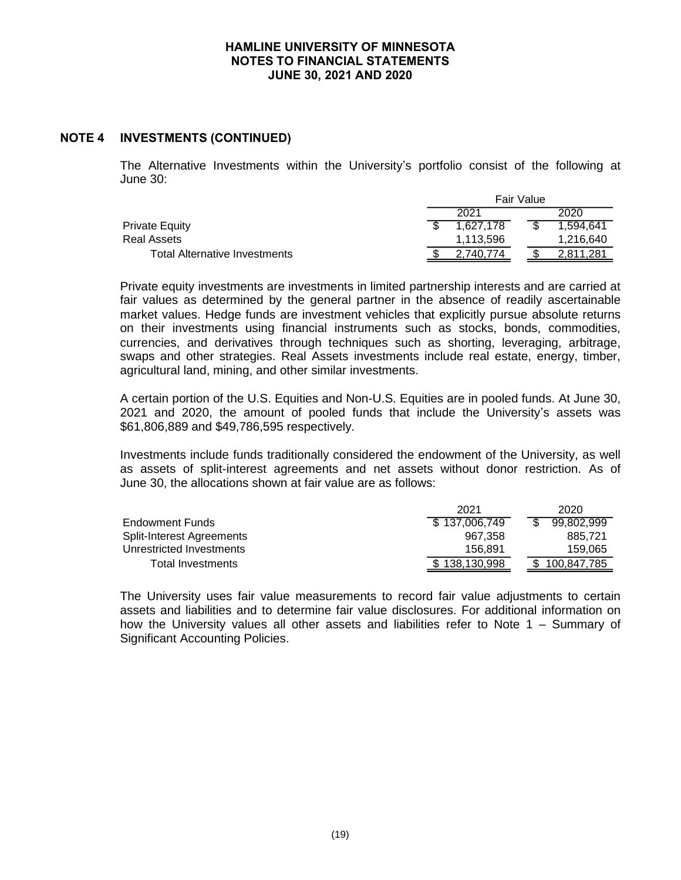### **NOTE 4 INVESTMENTS (CONTINUED)**

The Alternative Investments within the University's portfolio consist of the following at June 30:

|                                      | Fair Value |           |  |  |           |
|--------------------------------------|------------|-----------|--|--|-----------|
|                                      |            | 2021      |  |  | 2020      |
| Private Equity                       |            | 1.627.178 |  |  | 1.594.641 |
| Real Assets                          |            | 1.113.596 |  |  | 1,216,640 |
| <b>Total Alternative Investments</b> |            | .740.774  |  |  | 2.811.281 |

Private equity investments are investments in limited partnership interests and are carried at fair values as determined by the general partner in the absence of readily ascertainable market values. Hedge funds are investment vehicles that explicitly pursue absolute returns on their investments using financial instruments such as stocks, bonds, commodities, currencies, and derivatives through techniques such as shorting, leveraging, arbitrage, swaps and other strategies. Real Assets investments include real estate, energy, timber, agricultural land, mining, and other similar investments.

A certain portion of the U.S. Equities and Non-U.S. Equities are in pooled funds. At June 30, 2021 and 2020, the amount of pooled funds that include the University's assets was \$61,806,889 and \$49,786,595 respectively.

Investments include funds traditionally considered the endowment of the University, as well as assets of split-interest agreements and net assets without donor restriction. As of June 30, the allocations shown at fair value are as follows:

|                                  | 2021          | 2020              |
|----------------------------------|---------------|-------------------|
| Endowment Funds                  | \$137,006,749 | 99.802.999<br>-SS |
| <b>Split-Interest Agreements</b> | 967.358       | 885.721           |
| Unrestricted Investments         | 156.891       | 159.065           |
| Total Investments                | \$138,130,998 | 100.847.785       |

The University uses fair value measurements to record fair value adjustments to certain assets and liabilities and to determine fair value disclosures. For additional information on how the University values all other assets and liabilities refer to Note 1 – Summary of Significant Accounting Policies.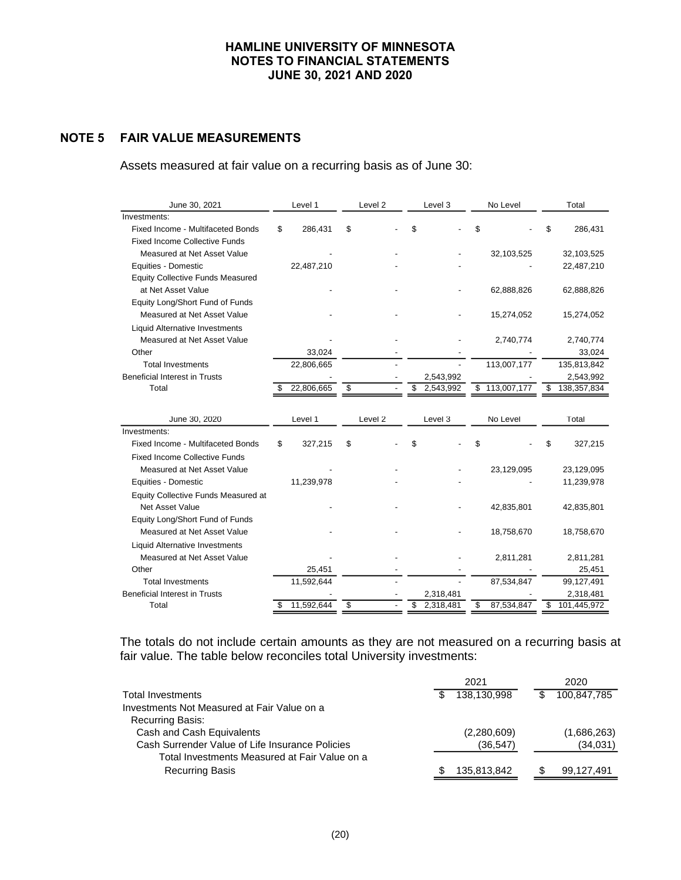## **NOTE 5 FAIR VALUE MEASUREMENTS**

Assets measured at fair value on a recurring basis as of June 30:

| June 30, 2021                           | Level 1       | Level <sub>2</sub> |                | Level 3         |    | No Level      |    | Total         |  |
|-----------------------------------------|---------------|--------------------|----------------|-----------------|----|---------------|----|---------------|--|
| Investments:                            |               |                    |                |                 |    |               |    |               |  |
| Fixed Income - Multifaceted Bonds       | \$<br>286,431 | \$                 |                | \$              |    |               | \$ | 286,431       |  |
| <b>Fixed Income Collective Funds</b>    |               |                    |                |                 |    |               |    |               |  |
| Measured at Net Asset Value             |               |                    |                |                 |    | 32,103,525    |    | 32,103,525    |  |
| Equities - Domestic                     | 22,487,210    |                    |                |                 |    |               |    | 22,487,210    |  |
| <b>Equity Collective Funds Measured</b> |               |                    |                |                 |    |               |    |               |  |
| at Net Asset Value                      |               |                    |                |                 |    | 62,888,826    |    | 62,888,826    |  |
| Equity Long/Short Fund of Funds         |               |                    |                |                 |    |               |    |               |  |
| Measured at Net Asset Value             |               |                    |                |                 |    | 15,274,052    |    | 15,274,052    |  |
| Liquid Alternative Investments          |               |                    |                |                 |    |               |    |               |  |
| Measured at Net Asset Value             |               |                    |                |                 |    | 2,740,774     |    | 2,740,774     |  |
| Other                                   | 33,024        |                    |                |                 |    |               |    | 33,024        |  |
| <b>Total Investments</b>                | 22,806,665    |                    |                |                 |    | 113,007,177   |    | 135,813,842   |  |
| <b>Beneficial Interest in Trusts</b>    |               |                    |                | 2,543,992       |    |               |    | 2,543,992     |  |
| Total                                   | 22,806,665    | \$                 | $\blacksquare$ | \$<br>2,543,992 |    | \$113,007,177 | \$ | 138, 357, 834 |  |
|                                         |               |                    |                |                 |    |               |    |               |  |
| June 30, 2020                           | Level 1       |                    | Level 2        | Level 3         |    | No Level      |    | Total         |  |
| Investments:                            |               |                    |                |                 |    |               |    |               |  |
| Fixed Income - Multifaceted Bonds       | \$<br>327,215 | \$                 |                | \$              | \$ |               | \$ | 327,215       |  |
| <b>Fixed Income Collective Funds</b>    |               |                    |                |                 |    |               |    |               |  |
| Measured at Net Asset Value             |               |                    |                |                 |    | 23,129,095    |    | 23,129,095    |  |
| Equities - Domestic                     | 11,239,978    |                    |                |                 |    |               |    | 11,239,978    |  |
| Equity Collective Funds Measured at     |               |                    |                |                 |    |               |    |               |  |
| Net Asset Value                         |               |                    |                |                 |    | 42,835,801    |    | 42,835,801    |  |
| Equity Long/Short Fund of Funds         |               |                    |                |                 |    |               |    |               |  |
| Measured at Net Asset Value             |               |                    |                |                 |    | 18,758,670    |    | 18,758,670    |  |
| Liquid Alternative Investments          |               |                    |                |                 |    |               |    |               |  |
| Measured at Net Asset Value             |               |                    |                |                 |    | 2,811,281     |    | 2,811,281     |  |
| Other                                   | 25,451        |                    |                |                 |    |               |    | 25,451        |  |
| <b>Total Investments</b>                | 11,592,644    |                    |                |                 |    | 87,534,847    |    | 99,127,491    |  |
| <b>Beneficial Interest in Trusts</b>    |               |                    |                | 2,318,481       |    |               |    | 2,318,481     |  |
| Total                                   | 11,592,644    | \$                 |                | \$<br>2,318,481 | \$ | 87,534,847    | \$ | 101,445,972   |  |

The totals do not include certain amounts as they are not measured on a recurring basis at fair value. The table below reconciles total University investments:

| 2021        | 2020        |
|-------------|-------------|
| 138,130,998 | 100,847,785 |
|             |             |
|             |             |
| (2,280,609) | (1,686,263) |
| (36, 547)   | (34,031)    |
|             |             |
| 135,813,842 | 99.127.491  |
|             |             |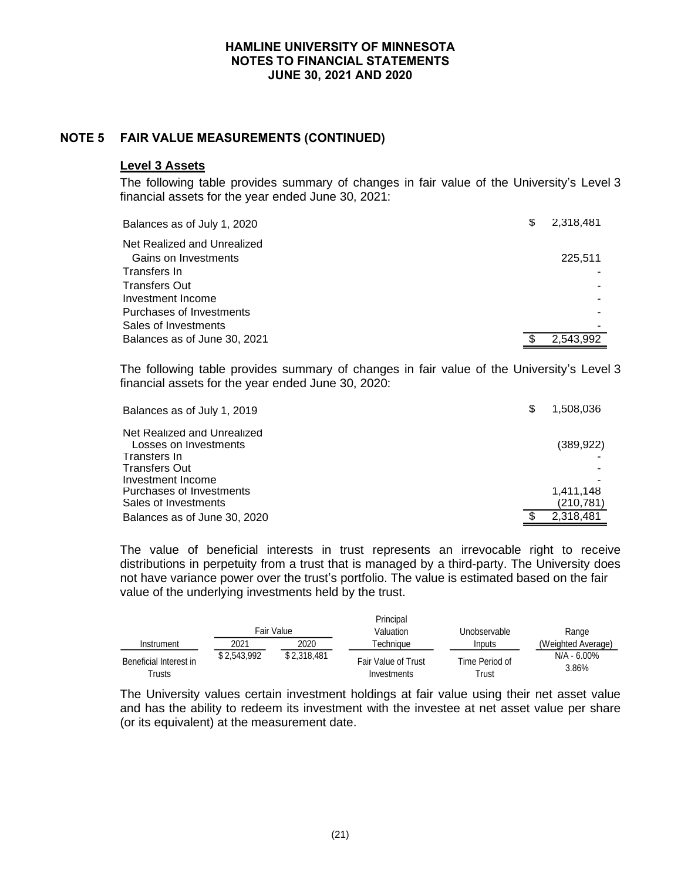## **NOTE 5 FAIR VALUE MEASUREMENTS (CONTINUED)**

#### **Level 3 Assets**

The following table provides summary of changes in fair value of the University's Level 3 financial assets for the year ended June 30, 2021:

| Balances as of July 1, 2020                         | 2,318,481 |
|-----------------------------------------------------|-----------|
| Net Realized and Unrealized<br>Gains on Investments | 225,511   |
| Transfers In                                        |           |
| <b>Transfers Out</b>                                |           |
| Investment Income                                   |           |
| Purchases of Investments                            |           |
| Sales of Investments                                |           |
| Balances as of June 30, 2021                        | 2.543.992 |

The following table provides summary of changes in fair value of the University's Level 3 financial assets for the year ended June 30, 2020:

| Balances as of July 1, 2019                          | 1,508,036  |
|------------------------------------------------------|------------|
| Net Realized and Unrealized<br>Losses on Investments | (389, 922) |
| Transfers In                                         |            |
| <b>Transfers Out</b>                                 |            |
| Investment Income                                    |            |
| Purchases of Investments                             | 1,411,148  |
| Sales of Investments                                 | (210, 781) |
| Balances as of June 30, 2020                         | 2.318.481  |

The value of beneficial interests in trust represents an irrevocable right to receive distributions in perpetuity from a trust that is managed by a third-party. The University does not have variance power over the trust's portfolio. The value is estimated based on the fair value of the underlying investments held by the trust.

|                                  |             | Fair Value  | Principal<br>Valuation             | Unobservable            | Range                   |
|----------------------------------|-------------|-------------|------------------------------------|-------------------------|-------------------------|
| Instrument                       | 2021        | 2020        | Techniaue                          | Inputs                  | (Weighted Average)      |
| Beneficial Interest in<br>Frusts | \$2.543.992 | \$2,318,481 | Fair Value of Trust<br>Investments | Time Period of<br>Trust | $N/A - 6.00\%$<br>3.86% |

The University values certain investment holdings at fair value using their net asset value and has the ability to redeem its investment with the investee at net asset value per share (or its equivalent) at the measurement date.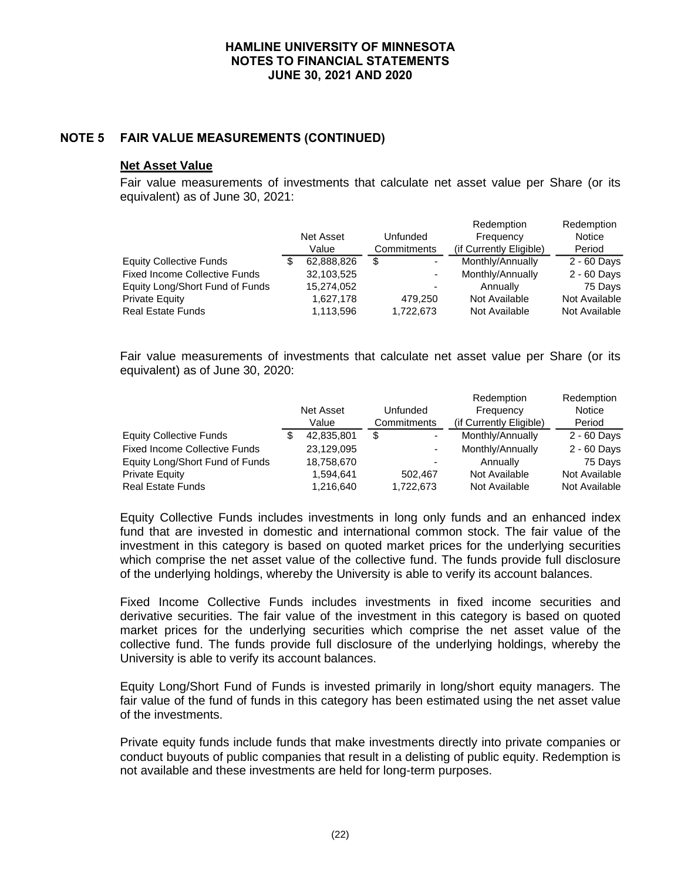### **NOTE 5 FAIR VALUE MEASUREMENTS (CONTINUED)**

#### **Net Asset Value**

Fair value measurements of investments that calculate net asset value per Share (or its equivalent) as of June 30, 2021:

|            |    |         | Redemption                           | Redemption                                                      |
|------------|----|---------|--------------------------------------|-----------------------------------------------------------------|
| Net Asset  |    |         | Frequency                            | Notice                                                          |
| Value      |    |         |                                      | Period                                                          |
| 62,888,826 | S. |         |                                      | 2 - 60 Days                                                     |
| 32,103,525 |    |         |                                      | 2 - 60 Days                                                     |
| 15,274,052 |    |         | Annually                             | 75 Days                                                         |
| 1,627,178  |    | 479.250 | Not Available                        | Not Available                                                   |
| 1,113,596  |    |         | Not Available                        | Not Available                                                   |
|            |    |         | Unfunded<br>Commitments<br>1,722,673 | (if Currently Eligible)<br>Monthly/Annually<br>Monthly/Annually |

Fair value measurements of investments that calculate net asset value per Share (or its equivalent) as of June 30, 2020:

|                                      |            |             | Redemption              | Redemption    |
|--------------------------------------|------------|-------------|-------------------------|---------------|
|                                      | Net Asset  | Unfunded    | Frequency               | <b>Notice</b> |
|                                      | Value      | Commitments | (if Currently Eligible) | Period        |
| <b>Equity Collective Funds</b>       | 42,835,801 | \$<br>۰.    | Monthly/Annually        | 2 - 60 Days   |
| <b>Fixed Income Collective Funds</b> | 23,129,095 | ٠           | Monthly/Annually        | 2 - 60 Days   |
| Equity Long/Short Fund of Funds      | 18,758,670 |             | Annually                | 75 Days       |
| <b>Private Equity</b>                | 1,594,641  | 502.467     | Not Available           | Not Available |
| <b>Real Estate Funds</b>             | 1,216,640  | 1,722,673   | Not Available           | Not Available |

Equity Collective Funds includes investments in long only funds and an enhanced index fund that are invested in domestic and international common stock. The fair value of the investment in this category is based on quoted market prices for the underlying securities which comprise the net asset value of the collective fund. The funds provide full disclosure of the underlying holdings, whereby the University is able to verify its account balances.

Fixed Income Collective Funds includes investments in fixed income securities and derivative securities. The fair value of the investment in this category is based on quoted market prices for the underlying securities which comprise the net asset value of the collective fund. The funds provide full disclosure of the underlying holdings, whereby the University is able to verify its account balances.

Equity Long/Short Fund of Funds is invested primarily in long/short equity managers. The fair value of the fund of funds in this category has been estimated using the net asset value of the investments.

Private equity funds include funds that make investments directly into private companies or conduct buyouts of public companies that result in a delisting of public equity. Redemption is not available and these investments are held for long-term purposes.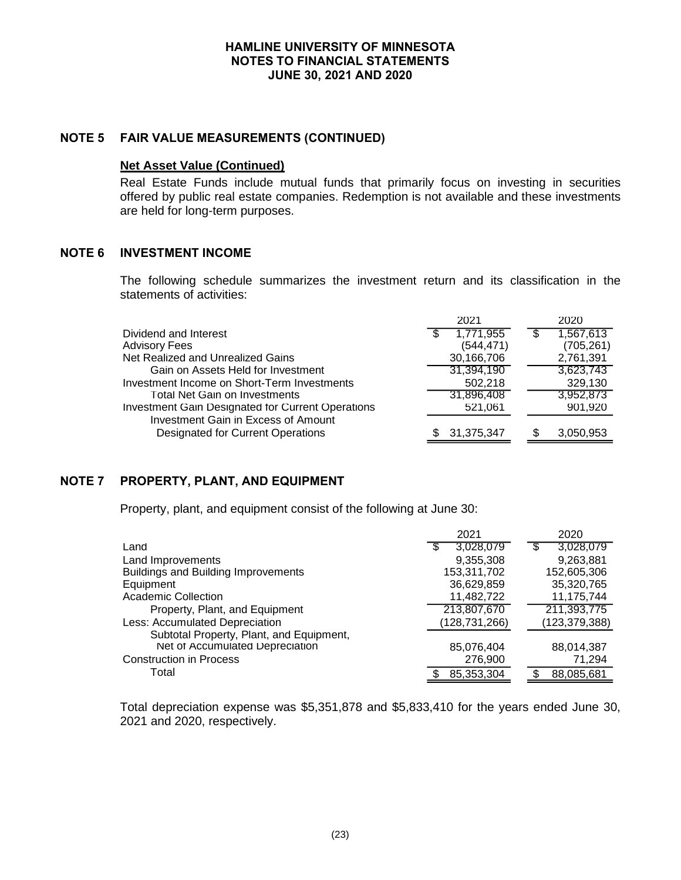#### **NOTE 5 FAIR VALUE MEASUREMENTS (CONTINUED)**

#### **Net Asset Value (Continued)**

Real Estate Funds include mutual funds that primarily focus on investing in securities offered by public real estate companies. Redemption is not available and these investments are held for long-term purposes.

## **NOTE 6 INVESTMENT INCOME**

The following schedule summarizes the investment return and its classification in the statements of activities:

|                                                          | 2021       | 2020       |  |
|----------------------------------------------------------|------------|------------|--|
| Dividend and Interest                                    | 1,771,955  | 1,567,613  |  |
| <b>Advisory Fees</b>                                     | (544, 471) | (705, 261) |  |
| Net Realized and Unrealized Gains                        | 30,166,706 | 2,761,391  |  |
| Gain on Assets Held for Investment                       | 31,394,190 | 3,623,743  |  |
| Investment Income on Short-Term Investments              | 502,218    | 329,130    |  |
| <b>Total Net Gain on Investments</b>                     | 31,896,408 | 3,952,873  |  |
| <b>Investment Gain Designated for Current Operations</b> | 521,061    | 901.920    |  |
| Investment Gain in Excess of Amount                      |            |            |  |
| Designated for Current Operations                        | 31,375,347 | 3,050,953  |  |

## **NOTE 7 PROPERTY, PLANT, AND EQUIPMENT**

Property, plant, and equipment consist of the following at June 30:

|                                            | 2021          | 2020            |
|--------------------------------------------|---------------|-----------------|
| Land                                       | 3,028,079     | 3,028,079       |
| Land Improvements                          | 9,355,308     | 9,263,881       |
| <b>Buildings and Building Improvements</b> | 153,311,702   | 152,605,306     |
| Equipment                                  | 36,629,859    | 35,320,765      |
| Academic Collection                        | 11,482,722    | 11,175,744      |
| Property, Plant, and Equipment             | 213,807,670   | 211,393,775     |
| Less: Accumulated Depreciation             | (128,731,266) | (123, 379, 388) |
| Subtotal Property, Plant, and Equipment,   |               |                 |
| Net of Accumulated Depreciation            | 85,076,404    | 88,014,387      |
| <b>Construction in Process</b>             | 276,900       | 71,294          |
| Total                                      | 85.353.304    | 88.085.681      |

Total depreciation expense was \$5,351,878 and \$5,833,410 for the years ended June 30, 2021 and 2020, respectively.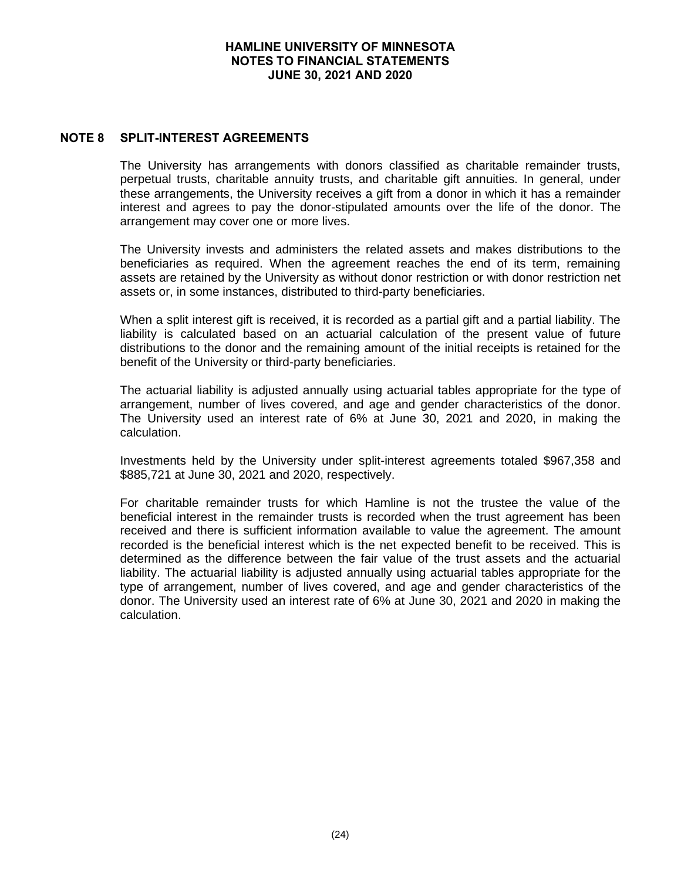#### **NOTE 8 SPLIT-INTEREST AGREEMENTS**

The University has arrangements with donors classified as charitable remainder trusts, perpetual trusts, charitable annuity trusts, and charitable gift annuities. In general, under these arrangements, the University receives a gift from a donor in which it has a remainder interest and agrees to pay the donor-stipulated amounts over the life of the donor. The arrangement may cover one or more lives.

The University invests and administers the related assets and makes distributions to the beneficiaries as required. When the agreement reaches the end of its term, remaining assets are retained by the University as without donor restriction or with donor restriction net assets or, in some instances, distributed to third-party beneficiaries.

When a split interest gift is received, it is recorded as a partial gift and a partial liability. The liability is calculated based on an actuarial calculation of the present value of future distributions to the donor and the remaining amount of the initial receipts is retained for the benefit of the University or third-party beneficiaries.

The actuarial liability is adjusted annually using actuarial tables appropriate for the type of arrangement, number of lives covered, and age and gender characteristics of the donor. The University used an interest rate of 6% at June 30, 2021 and 2020, in making the calculation.

Investments held by the University under split-interest agreements totaled \$967,358 and \$885,721 at June 30, 2021 and 2020, respectively.

For charitable remainder trusts for which Hamline is not the trustee the value of the beneficial interest in the remainder trusts is recorded when the trust agreement has been received and there is sufficient information available to value the agreement. The amount recorded is the beneficial interest which is the net expected benefit to be received. This is determined as the difference between the fair value of the trust assets and the actuarial liability. The actuarial liability is adjusted annually using actuarial tables appropriate for the type of arrangement, number of lives covered, and age and gender characteristics of the donor. The University used an interest rate of 6% at June 30, 2021 and 2020 in making the calculation.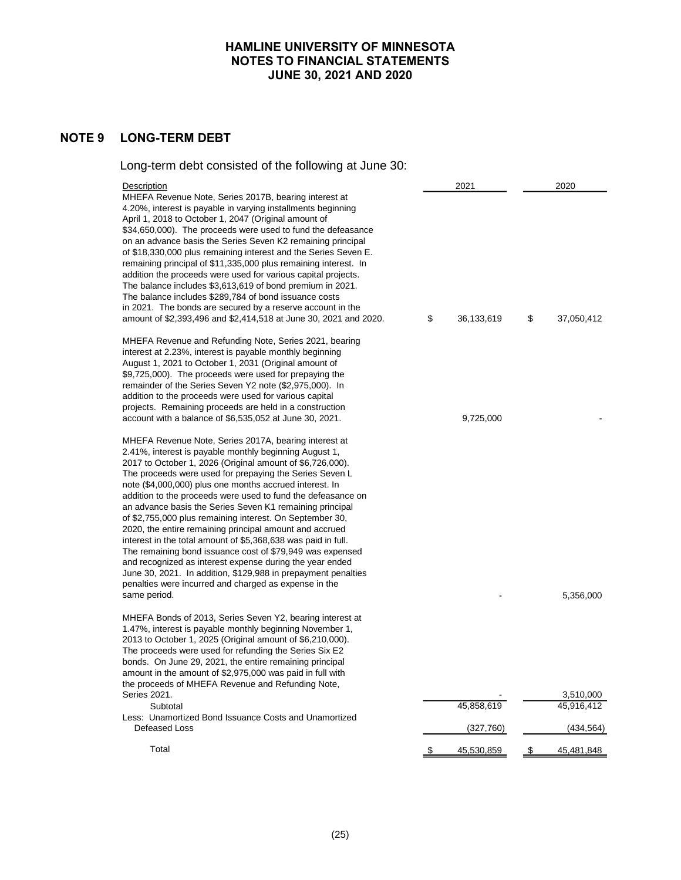# **NOTE 9 LONG-TERM DEBT**

## Long-term debt consisted of the following at June 30:

| Description                                                      | 2021             | 2020             |
|------------------------------------------------------------------|------------------|------------------|
| MHEFA Revenue Note, Series 2017B, bearing interest at            |                  |                  |
| 4.20%, interest is payable in varying installments beginning     |                  |                  |
| April 1, 2018 to October 1, 2047 (Original amount of             |                  |                  |
| \$34,650,000). The proceeds were used to fund the defeasance     |                  |                  |
| on an advance basis the Series Seven K2 remaining principal      |                  |                  |
| of \$18,330,000 plus remaining interest and the Series Seven E.  |                  |                  |
| remaining principal of \$11,335,000 plus remaining interest. In  |                  |                  |
| addition the proceeds were used for various capital projects.    |                  |                  |
| The balance includes \$3,613,619 of bond premium in 2021.        |                  |                  |
| The balance includes \$289,784 of bond issuance costs            |                  |                  |
| in 2021. The bonds are secured by a reserve account in the       |                  |                  |
| amount of \$2,393,496 and \$2,414,518 at June 30, 2021 and 2020. | \$<br>36,133,619 | \$<br>37,050,412 |
| MHEFA Revenue and Refunding Note, Series 2021, bearing           |                  |                  |
| interest at 2.23%, interest is payable monthly beginning         |                  |                  |
| August 1, 2021 to October 1, 2031 (Original amount of            |                  |                  |
| \$9,725,000). The proceeds were used for prepaying the           |                  |                  |
| remainder of the Series Seven Y2 note (\$2,975,000). In          |                  |                  |
| addition to the proceeds were used for various capital           |                  |                  |
| projects. Remaining proceeds are held in a construction          |                  |                  |
| account with a balance of \$6,535,052 at June 30, 2021.          | 9,725,000        |                  |
|                                                                  |                  |                  |
| MHEFA Revenue Note, Series 2017A, bearing interest at            |                  |                  |
| 2.41%, interest is payable monthly beginning August 1,           |                  |                  |
| 2017 to October 1, 2026 (Original amount of \$6,726,000).        |                  |                  |
| The proceeds were used for prepaying the Series Seven L          |                  |                  |
| note (\$4,000,000) plus one months accrued interest. In          |                  |                  |
| addition to the proceeds were used to fund the defeasance on     |                  |                  |
| an advance basis the Series Seven K1 remaining principal         |                  |                  |
| of \$2,755,000 plus remaining interest. On September 30,         |                  |                  |
| 2020, the entire remaining principal amount and accrued          |                  |                  |
| interest in the total amount of \$5,368,638 was paid in full.    |                  |                  |
| The remaining bond issuance cost of \$79,949 was expensed        |                  |                  |
| and recognized as interest expense during the year ended         |                  |                  |
| June 30, 2021. In addition, \$129,988 in prepayment penalties    |                  |                  |
| penalties were incurred and charged as expense in the            |                  |                  |
| same period.                                                     |                  | 5,356,000        |
| MHEFA Bonds of 2013, Series Seven Y2, bearing interest at        |                  |                  |
| 1.47%, interest is payable monthly beginning November 1,         |                  |                  |
| 2013 to October 1, 2025 (Original amount of \$6,210,000).        |                  |                  |
| The proceeds were used for refunding the Series Six E2           |                  |                  |
| bonds. On June 29, 2021, the entire remaining principal          |                  |                  |
| amount in the amount of \$2,975,000 was paid in full with        |                  |                  |
| the proceeds of MHEFA Revenue and Refunding Note,                |                  |                  |
| Series 2021.                                                     |                  | 3,510,000        |
| Subtotal                                                         | 45,858,619       | 45,916,412       |
|                                                                  |                  |                  |
| Less: Unamortized Bond Issuance Costs and Unamortized            | (327,760)        | (434, 564)       |
|                                                                  |                  |                  |
| Defeased Loss<br>Total                                           |                  |                  |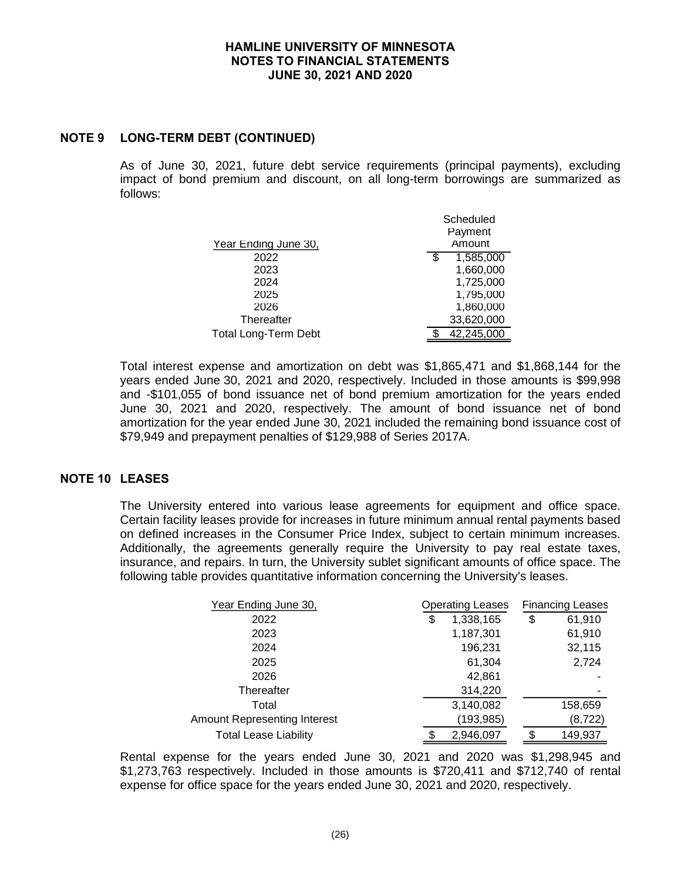## **NOTE 9 LONG-TERM DEBT (CONTINUED)**

As of June 30, 2021, future debt service requirements (principal payments), excluding impact of bond premium and discount, on all long-term borrowings are summarized as follows:

|                             | Scheduled      |
|-----------------------------|----------------|
|                             | Payment        |
| Year Ending June 30,        | Amount         |
| 2022                        | 1,585,000<br>S |
| 2023                        | 1,660,000      |
| 2024                        | 1,725,000      |
| 2025                        | 1,795,000      |
| 2026                        | 1,860,000      |
| Thereafter                  | 33,620,000     |
| <b>Total Long-Term Debt</b> | 42,245,000     |

Total interest expense and amortization on debt was \$1,865,471 and \$1,868,144 for the years ended June 30, 2021 and 2020, respectively. Included in those amounts is \$99,998 and -\$101,055 of bond issuance net of bond premium amortization for the years ended June 30, 2021 and 2020, respectively. The amount of bond issuance net of bond amortization for the year ended June 30, 2021 included the remaining bond issuance cost of \$79,949 and prepayment penalties of \$129,988 of Series 2017A.

## **NOTE 10 LEASES**

The University entered into various lease agreements for equipment and office space. Certain facility leases provide for increases in future minimum annual rental payments based on defined increases in the Consumer Price Index, subject to certain minimum increases. Additionally, the agreements generally require the University to pay real estate taxes, insurance, and repairs. In turn, the University sublet significant amounts of office space. The following table provides quantitative information concerning the University's leases.

| Year Ending June 30,                | <b>Operating Leases</b> | <b>Financing Leases</b> |          |  |
|-------------------------------------|-------------------------|-------------------------|----------|--|
| 2022                                | \$<br>1,338,165         | \$                      | 61,910   |  |
| 2023                                | 1,187,301               |                         | 61,910   |  |
| 2024                                | 196,231                 |                         | 32,115   |  |
| 2025                                | 61,304                  |                         | 2,724    |  |
| 2026                                | 42,861                  |                         |          |  |
| Thereafter                          | 314,220                 |                         |          |  |
| Total                               | 3,140,082               |                         | 158,659  |  |
| <b>Amount Representing Interest</b> | (193, 985)              |                         | (8, 722) |  |
| <b>Total Lease Liability</b>        | 2,946,097               | \$                      | 149,937  |  |

Rental expense for the years ended June 30, 2021 and 2020 was \$1,298,945 and \$1,273,763 respectively. Included in those amounts is \$720,411 and \$712,740 of rental expense for office space for the years ended June 30, 2021 and 2020, respectively.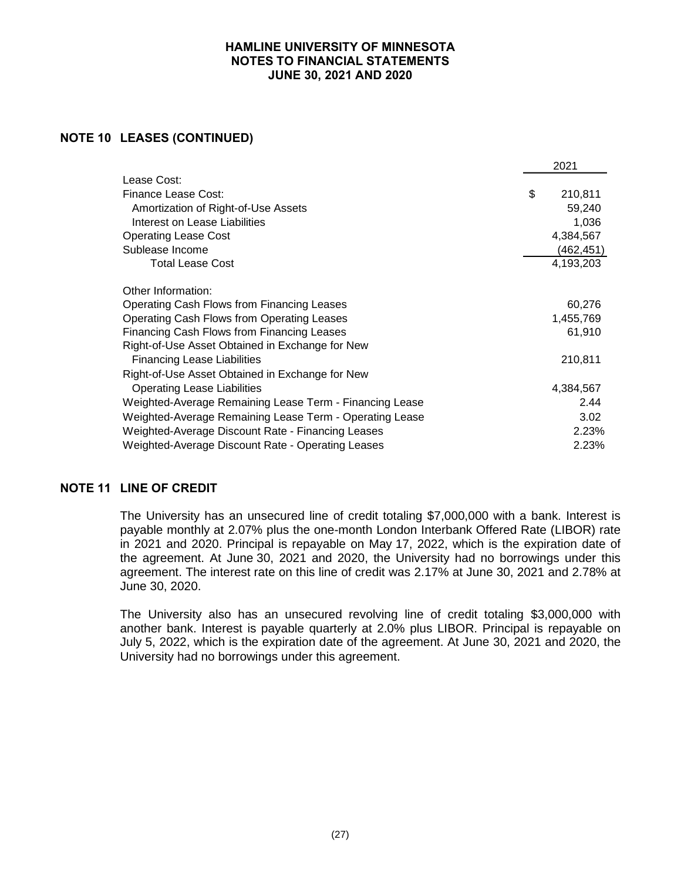## **NOTE 10 LEASES (CONTINUED)**

|                                                         | 2021          |
|---------------------------------------------------------|---------------|
| Lease Cost:                                             |               |
| Finance Lease Cost:                                     | \$<br>210,811 |
| Amortization of Right-of-Use Assets                     | 59,240        |
| Interest on Lease Liabilities                           | 1,036         |
| <b>Operating Lease Cost</b>                             | 4,384,567     |
| Sublease Income                                         | (462,451)     |
| <b>Total Lease Cost</b>                                 | 4,193,203     |
| Other Information:                                      |               |
| Operating Cash Flows from Financing Leases              | 60,276        |
| Operating Cash Flows from Operating Leases              | 1,455,769     |
| Financing Cash Flows from Financing Leases              | 61,910        |
| Right-of-Use Asset Obtained in Exchange for New         |               |
| <b>Financing Lease Liabilities</b>                      | 210,811       |
| Right-of-Use Asset Obtained in Exchange for New         |               |
| <b>Operating Lease Liabilities</b>                      | 4,384,567     |
| Weighted-Average Remaining Lease Term - Financing Lease | 2.44          |
| Weighted-Average Remaining Lease Term - Operating Lease | 3.02          |
| Weighted-Average Discount Rate - Financing Leases       | 2.23%         |
| Weighted-Average Discount Rate - Operating Leases       | 2.23%         |

## **NOTE 11 LINE OF CREDIT**

The University has an unsecured line of credit totaling \$7,000,000 with a bank. Interest is payable monthly at 2.07% plus the one-month London Interbank Offered Rate (LIBOR) rate in 2021 and 2020. Principal is repayable on May 17, 2022, which is the expiration date of the agreement. At June 30, 2021 and 2020, the University had no borrowings under this agreement. The interest rate on this line of credit was 2.17% at June 30, 2021 and 2.78% at June 30, 2020.

The University also has an unsecured revolving line of credit totaling \$3,000,000 with another bank. Interest is payable quarterly at 2.0% plus LIBOR. Principal is repayable on July 5, 2022, which is the expiration date of the agreement. At June 30, 2021 and 2020, the University had no borrowings under this agreement.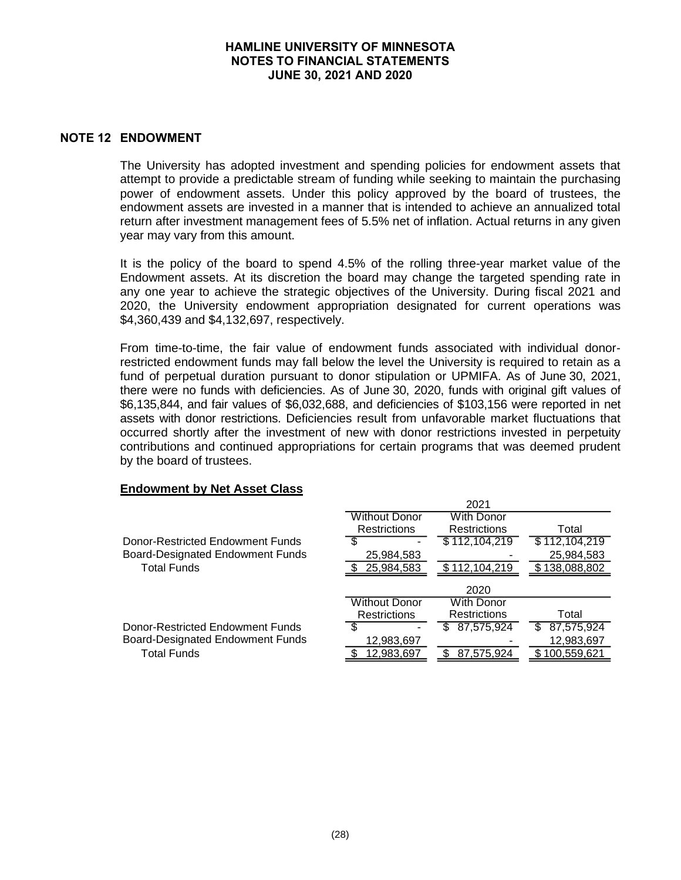#### **NOTE 12 ENDOWMENT**

The University has adopted investment and spending policies for endowment assets that attempt to provide a predictable stream of funding while seeking to maintain the purchasing power of endowment assets. Under this policy approved by the board of trustees, the endowment assets are invested in a manner that is intended to achieve an annualized total return after investment management fees of 5.5% net of inflation. Actual returns in any given year may vary from this amount.

It is the policy of the board to spend 4.5% of the rolling three-year market value of the Endowment assets. At its discretion the board may change the targeted spending rate in any one year to achieve the strategic objectives of the University. During fiscal 2021 and 2020, the University endowment appropriation designated for current operations was \$4,360,439 and \$4,132,697, respectively.

From time-to-time, the fair value of endowment funds associated with individual donorrestricted endowment funds may fall below the level the University is required to retain as a fund of perpetual duration pursuant to donor stipulation or UPMIFA. As of June 30, 2021, there were no funds with deficiencies. As of June 30, 2020, funds with original gift values of \$6,135,844, and fair values of \$6,032,688, and deficiencies of \$103,156 were reported in net assets with donor restrictions. Deficiencies result from unfavorable market fluctuations that occurred shortly after the investment of new with donor restrictions invested in perpetuity contributions and continued appropriations for certain programs that was deemed prudent by the board of trustees.

#### **Endowment by Net Asset Class**

|                                         |                      | 2021                |               |
|-----------------------------------------|----------------------|---------------------|---------------|
|                                         | <b>Without Donor</b> | With Donor          |               |
|                                         | <b>Restrictions</b>  | <b>Restrictions</b> | Total         |
| Donor-Restricted Endowment Funds        | S                    | \$112,104,219       | \$112,104,219 |
| <b>Board-Designated Endowment Funds</b> | 25,984,583           |                     | 25,984,583    |
| <b>Total Funds</b>                      | 25,984,583           | \$112,104,219       | \$138,088,802 |
|                                         |                      | 2020                |               |
|                                         | <b>Without Donor</b> | With Donor          |               |
|                                         | <b>Restrictions</b>  | <b>Restrictions</b> | Total         |
| Donor-Restricted Endowment Funds        | \$                   | \$87,575,924        | \$87,575,924  |
| Board-Designated Endowment Funds        | 12,983,697           |                     | 12,983,697    |
| <b>Total Funds</b>                      | 12,983,697           | 87,575,924          | 100,559,621   |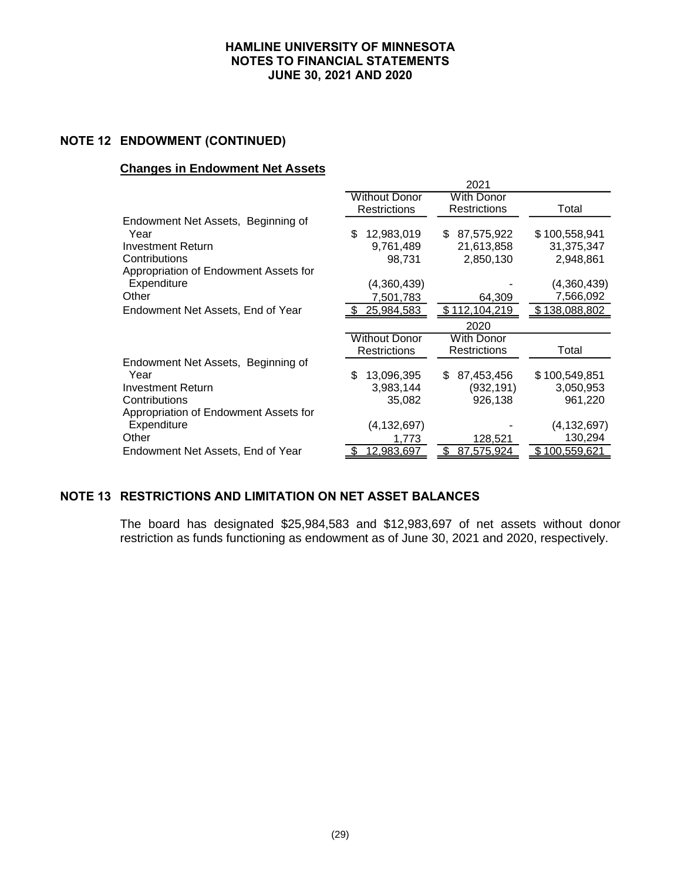# **NOTE 12 ENDOWMENT (CONTINUED)**

## **Changes in Endowment Net Assets**

|                                            | 2021 |                                             |     |                                   |                         |  |  |
|--------------------------------------------|------|---------------------------------------------|-----|-----------------------------------|-------------------------|--|--|
|                                            |      | <b>Without Donor</b><br><b>Restrictions</b> |     | With Donor<br><b>Restrictions</b> | Total                   |  |  |
| Endowment Net Assets, Beginning of<br>Year | \$.  | 12,983,019                                  | \$. | 87,575,922                        | \$100,558,941           |  |  |
| <b>Investment Return</b><br>Contributions  |      | 9,761,489<br>98,731                         |     | 21,613,858<br>2,850,130           | 31,375,347<br>2,948,861 |  |  |
| Appropriation of Endowment Assets for      |      |                                             |     |                                   |                         |  |  |
| Expenditure                                |      | (4,360,439)                                 |     |                                   | (4,360,439)             |  |  |
| Other                                      |      | 7,501,783                                   |     | 64,309                            | 7,566,092               |  |  |
| Endowment Net Assets, End of Year          |      | 25,984,583                                  |     | \$112,104,219                     | \$138,088,802           |  |  |
|                                            |      |                                             |     | 2020                              |                         |  |  |
|                                            |      | <b>Without Donor</b>                        |     | With Donor                        |                         |  |  |
|                                            |      | Restrictions                                |     | Restrictions                      | Total                   |  |  |
| Endowment Net Assets, Beginning of         |      |                                             |     |                                   |                         |  |  |
| Year                                       | \$.  | 13,096,395                                  | \$. | 87,453,456                        | \$100,549,851           |  |  |
| <b>Investment Return</b>                   |      | 3,983,144                                   |     | (932, 191)                        | 3,050,953               |  |  |
| Contributions                              |      | 35,082                                      |     | 926,138                           | 961,220                 |  |  |
| Appropriation of Endowment Assets for      |      |                                             |     |                                   |                         |  |  |
| Expenditure                                |      | (4, 132, 697)                               |     |                                   | (4, 132, 697)           |  |  |
| Other                                      |      | 1,773                                       |     | 128,521                           | 130,294                 |  |  |
| Endowment Net Assets, End of Year          |      | 12,983,697                                  |     | 87,575,924                        | \$100,559,621           |  |  |

# **NOTE 13 RESTRICTIONS AND LIMITATION ON NET ASSET BALANCES**

The board has designated \$25,984,583 and \$12,983,697 of net assets without donor restriction as funds functioning as endowment as of June 30, 2021 and 2020, respectively.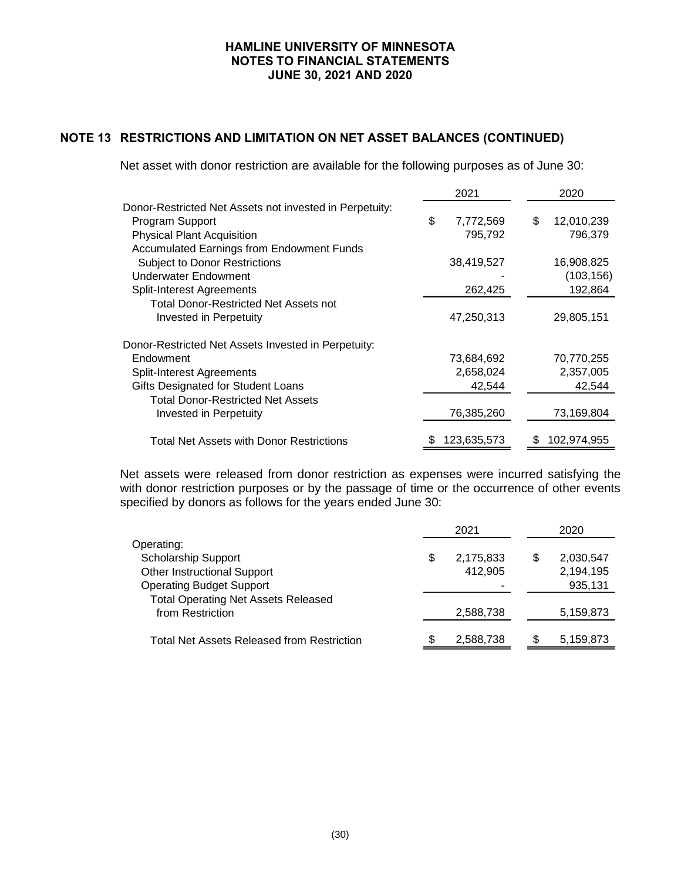## **NOTE 13 RESTRICTIONS AND LIMITATION ON NET ASSET BALANCES (CONTINUED)**

Net asset with donor restriction are available for the following purposes as of June 30:

|                                                         | 2021 |             | 2020             |
|---------------------------------------------------------|------|-------------|------------------|
| Donor-Restricted Net Assets not invested in Perpetuity: |      |             |                  |
| Program Support                                         | \$   | 7,772,569   | \$<br>12,010,239 |
| <b>Physical Plant Acquisition</b>                       |      | 795,792     | 796,379          |
| <b>Accumulated Earnings from Endowment Funds</b>        |      |             |                  |
| <b>Subject to Donor Restrictions</b>                    |      | 38,419,527  | 16,908,825       |
| Underwater Endowment                                    |      |             | (103, 156)       |
| <b>Split-Interest Agreements</b>                        |      | 262,425     | 192,864          |
| Total Donor-Restricted Net Assets not                   |      |             |                  |
| Invested in Perpetuity                                  |      | 47,250,313  | 29,805,151       |
| Donor-Restricted Net Assets Invested in Perpetuity:     |      |             |                  |
| Endowment                                               |      | 73,684,692  | 70,770,255       |
| Split-Interest Agreements                               |      | 2,658,024   | 2,357,005        |
| Gifts Designated for Student Loans                      |      | 42,544      | 42,544           |
| Total Donor-Restricted Net Assets                       |      |             |                  |
| Invested in Perpetuity                                  |      | 76,385,260  | 73,169,804       |
| Total Net Assets with Donor Restrictions                |      | 123,635,573 | 102,974,955      |

Net assets were released from donor restriction as expenses were incurred satisfying the with donor restriction purposes or by the passage of time or the occurrence of other events specified by donors as follows for the years ended June 30:

| 2021 |           |    | 2020      |
|------|-----------|----|-----------|
|      |           |    |           |
| \$   | 2,175,833 | \$ | 2,030,547 |
|      | 412,905   |    | 2,194,195 |
|      |           |    | 935,131   |
|      |           |    |           |
|      | 2,588,738 |    | 5,159,873 |
|      |           |    |           |
| S    | 2,588,738 |    | 5,159,873 |
|      |           |    |           |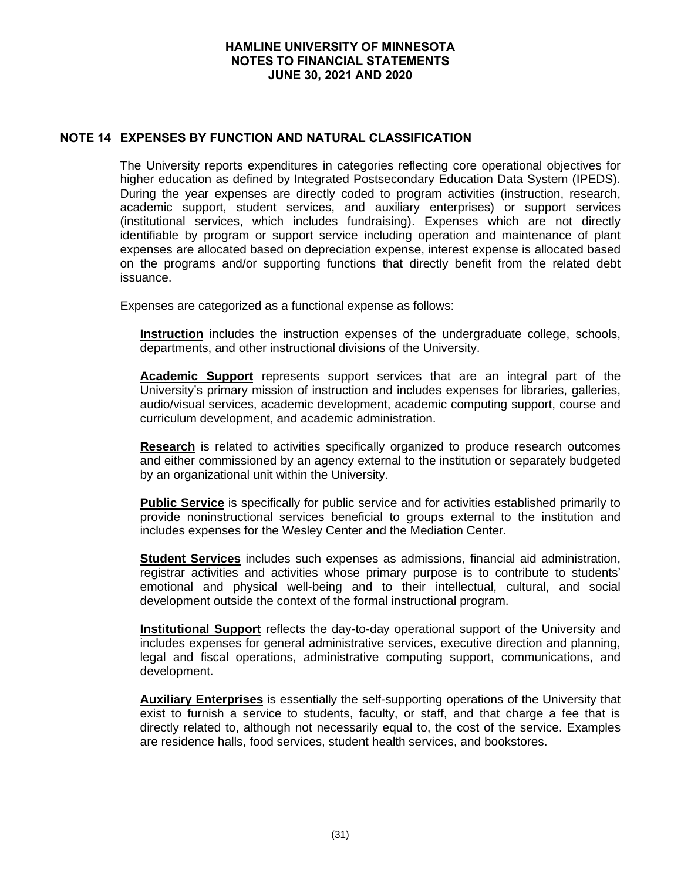## **NOTE 14 EXPENSES BY FUNCTION AND NATURAL CLASSIFICATION**

The University reports expenditures in categories reflecting core operational objectives for higher education as defined by Integrated Postsecondary Education Data System (IPEDS). During the year expenses are directly coded to program activities (instruction, research, academic support, student services, and auxiliary enterprises) or support services (institutional services, which includes fundraising). Expenses which are not directly identifiable by program or support service including operation and maintenance of plant expenses are allocated based on depreciation expense, interest expense is allocated based on the programs and/or supporting functions that directly benefit from the related debt issuance.

Expenses are categorized as a functional expense as follows:

**Instruction** includes the instruction expenses of the undergraduate college, schools, departments, and other instructional divisions of the University.

**Academic Support** represents support services that are an integral part of the University's primary mission of instruction and includes expenses for libraries, galleries, audio/visual services, academic development, academic computing support, course and curriculum development, and academic administration.

**Research** is related to activities specifically organized to produce research outcomes and either commissioned by an agency external to the institution or separately budgeted by an organizational unit within the University.

**Public Service** is specifically for public service and for activities established primarily to provide noninstructional services beneficial to groups external to the institution and includes expenses for the Wesley Center and the Mediation Center.

**Student Services** includes such expenses as admissions, financial aid administration, registrar activities and activities whose primary purpose is to contribute to students' emotional and physical well-being and to their intellectual, cultural, and social development outside the context of the formal instructional program.

**Institutional Support** reflects the day-to-day operational support of the University and includes expenses for general administrative services, executive direction and planning, legal and fiscal operations, administrative computing support, communications, and development.

**Auxiliary Enterprises** is essentially the self-supporting operations of the University that exist to furnish a service to students, faculty, or staff, and that charge a fee that is directly related to, although not necessarily equal to, the cost of the service. Examples are residence halls, food services, student health services, and bookstores.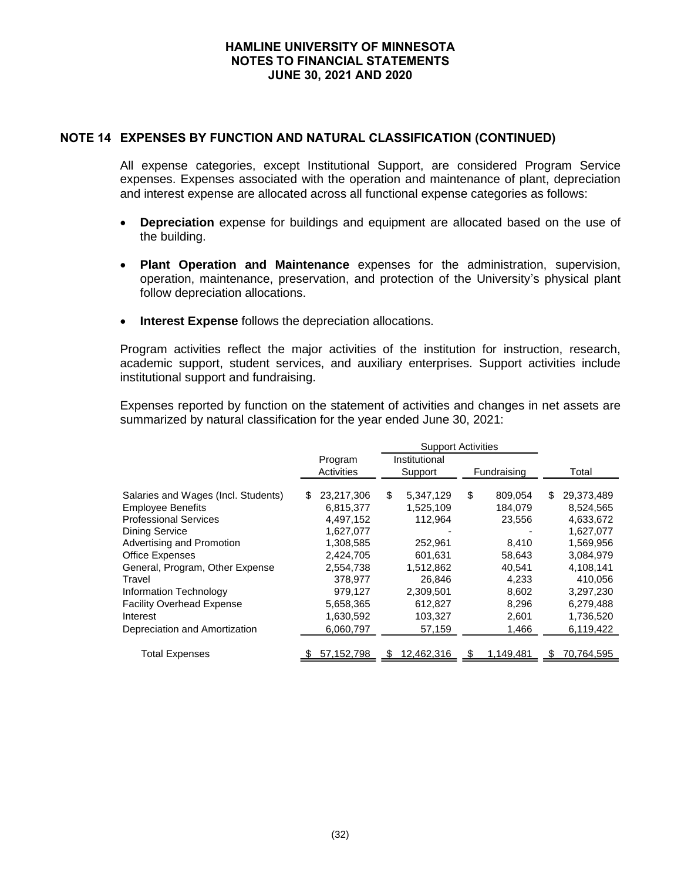### **NOTE 14 EXPENSES BY FUNCTION AND NATURAL CLASSIFICATION (CONTINUED)**

All expense categories, except Institutional Support, are considered Program Service expenses. Expenses associated with the operation and maintenance of plant, depreciation and interest expense are allocated across all functional expense categories as follows:

- **Depreciation** expense for buildings and equipment are allocated based on the use of the building.
- **Plant Operation and Maintenance** expenses for the administration, supervision, operation, maintenance, preservation, and protection of the University's physical plant follow depreciation allocations.
- **Interest Expense** follows the depreciation allocations.

Program activities reflect the major activities of the institution for instruction, research, academic support, student services, and auxiliary enterprises. Support activities include institutional support and fundraising.

Expenses reported by function on the statement of activities and changes in net assets are summarized by natural classification for the year ended June 30, 2021:

|                                                                 |     |            | <b>Support Activities</b> |               |    |             |     |            |
|-----------------------------------------------------------------|-----|------------|---------------------------|---------------|----|-------------|-----|------------|
|                                                                 |     | Program    |                           | Institutional |    |             |     |            |
|                                                                 |     | Activities |                           | Support       |    | Fundraising |     | Total      |
|                                                                 | \$. | 23,217,306 | \$                        | 5,347,129     | \$ | 809.054     | \$. | 29,373,489 |
| Salaries and Wages (Incl. Students)<br><b>Employee Benefits</b> |     | 6,815,377  |                           | 1,525,109     |    | 184,079     |     | 8,524,565  |
| <b>Professional Services</b>                                    |     | 4,497,152  |                           | 112,964       |    | 23.556      |     | 4,633,672  |
| <b>Dining Service</b>                                           |     | 1,627,077  |                           |               |    |             |     | 1,627,077  |
| Advertising and Promotion                                       |     | 1,308,585  |                           | 252,961       |    | 8,410       |     | 1,569,956  |
| <b>Office Expenses</b>                                          |     | 2,424,705  |                           | 601.631       |    | 58,643      |     | 3,084,979  |
| General, Program, Other Expense                                 |     | 2,554,738  |                           | 1,512,862     |    | 40,541      |     | 4,108,141  |
| Travel                                                          |     | 378,977    |                           | 26,846        |    | 4,233       |     | 410,056    |
| Information Technology                                          |     | 979,127    |                           | 2,309,501     |    | 8,602       |     | 3,297,230  |
| <b>Facility Overhead Expense</b>                                |     | 5,658,365  |                           | 612,827       |    | 8,296       |     | 6,279,488  |
| Interest                                                        |     | 1,630,592  |                           | 103,327       |    | 2,601       |     | 1,736,520  |
| Depreciation and Amortization                                   |     | 6,060,797  |                           | 57,159        |    | 1,466       |     | 6,119,422  |
| <b>Total Expenses</b>                                           |     | 57,152,798 | \$                        | 12,462,316    | S  | 1,149,481   | S   | 70,764,595 |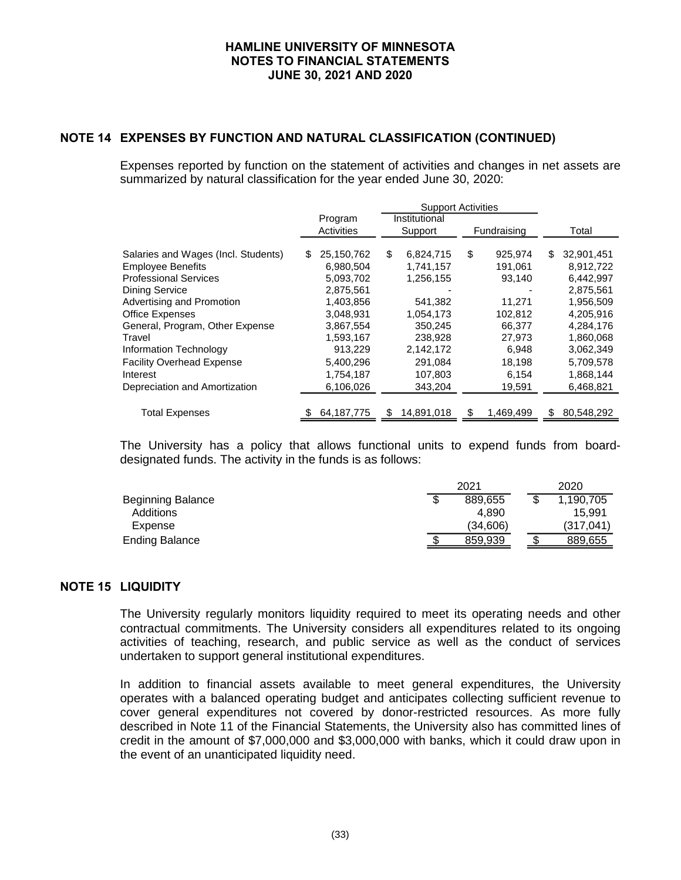## **NOTE 14 EXPENSES BY FUNCTION AND NATURAL CLASSIFICATION (CONTINUED)**

Expenses reported by function on the statement of activities and changes in net assets are summarized by natural classification for the year ended June 30, 2020:

|                                     | <b>Support Activities</b> |    |               |    |             |    |            |
|-------------------------------------|---------------------------|----|---------------|----|-------------|----|------------|
|                                     | Program                   |    | Institutional |    |             |    |            |
|                                     | Activities                |    | Support       |    | Fundraising |    | Total      |
| Salaries and Wages (Incl. Students) | \$<br>25,150,762          | \$ | 6,824,715     | \$ | 925.974     | \$ | 32.901.451 |
| <b>Employee Benefits</b>            | 6,980,504                 |    | 1,741,157     |    | 191.061     |    | 8.912.722  |
| <b>Professional Services</b>        | 5,093,702                 |    | 1,256,155     |    | 93,140      |    | 6,442,997  |
| <b>Dining Service</b>               | 2,875,561                 |    |               |    |             |    | 2,875,561  |
| Advertising and Promotion           | 1,403,856                 |    | 541,382       |    | 11.271      |    | 1,956,509  |
| <b>Office Expenses</b>              | 3,048,931                 |    | 1,054,173     |    | 102,812     |    | 4,205,916  |
| General, Program, Other Expense     | 3,867,554                 |    | 350,245       |    | 66,377      |    | 4,284,176  |
| Travel                              | 1,593,167                 |    | 238,928       |    | 27.973      |    | 1,860,068  |
| Information Technology              | 913,229                   |    | 2,142,172     |    | 6,948       |    | 3,062,349  |
| <b>Facility Overhead Expense</b>    | 5,400,296                 |    | 291,084       |    | 18,198      |    | 5,709,578  |
| Interest                            | 1,754,187                 |    | 107,803       |    | 6,154       |    | 1,868,144  |
| Depreciation and Amortization       | 6,106,026                 |    | 343,204       |    | 19,591      |    | 6,468,821  |
| <b>Total Expenses</b>               | 64,187,775                | \$ | 14,891,018    | \$ | 1,469,499   | S  | 80,548,292 |

The University has a policy that allows functional units to expend funds from boarddesignated funds. The activity in the funds is as follows:

|                   | 2021   |           |  | 2020       |  |
|-------------------|--------|-----------|--|------------|--|
| Beginning Balance | ጥ<br>J | 889.655   |  | 1,190,705  |  |
| Additions         |        | 4.890     |  | 15.991     |  |
| Expense           |        | (34, 606) |  | (317, 041) |  |
| Ending Balance    |        | 859.939   |  | 889,655    |  |
|                   |        |           |  |            |  |

## **NOTE 15 LIQUIDITY**

The University regularly monitors liquidity required to meet its operating needs and other contractual commitments. The University considers all expenditures related to its ongoing activities of teaching, research, and public service as well as the conduct of services undertaken to support general institutional expenditures.

In addition to financial assets available to meet general expenditures, the University operates with a balanced operating budget and anticipates collecting sufficient revenue to cover general expenditures not covered by donor-restricted resources. As more fully described in Note 11 of the Financial Statements, the University also has committed lines of credit in the amount of \$7,000,000 and \$3,000,000 with banks, which it could draw upon in the event of an unanticipated liquidity need.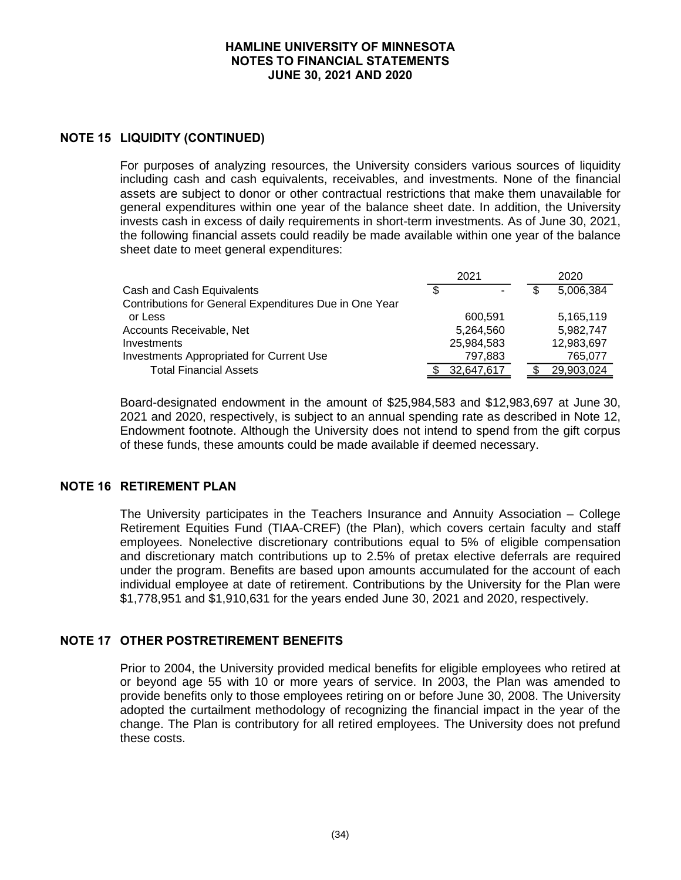## **NOTE 15 LIQUIDITY (CONTINUED)**

For purposes of analyzing resources, the University considers various sources of liquidity including cash and cash equivalents, receivables, and investments. None of the financial assets are subject to donor or other contractual restrictions that make them unavailable for general expenditures within one year of the balance sheet date. In addition, the University invests cash in excess of daily requirements in short-term investments. As of June 30, 2021, the following financial assets could readily be made available within one year of the balance sheet date to meet general expenditures:

|                                                        |     | 2021       | 2020       |
|--------------------------------------------------------|-----|------------|------------|
| Cash and Cash Equivalents                              | -SS |            | 5,006,384  |
| Contributions for General Expenditures Due in One Year |     |            |            |
| or Less                                                |     | 600.591    | 5,165,119  |
| Accounts Receivable, Net                               |     | 5,264,560  | 5,982,747  |
| Investments                                            |     | 25,984,583 | 12,983,697 |
| <b>Investments Appropriated for Current Use</b>        |     | 797,883    | 765,077    |
| <b>Total Financial Assets</b>                          |     | 32,647,617 | 29,903,024 |

Board-designated endowment in the amount of \$25,984,583 and \$12,983,697 at June 30, 2021 and 2020, respectively, is subject to an annual spending rate as described in Note 12, Endowment footnote. Although the University does not intend to spend from the gift corpus of these funds, these amounts could be made available if deemed necessary.

## **NOTE 16 RETIREMENT PLAN**

The University participates in the Teachers Insurance and Annuity Association – College Retirement Equities Fund (TIAA-CREF) (the Plan), which covers certain faculty and staff employees. Nonelective discretionary contributions equal to 5% of eligible compensation and discretionary match contributions up to 2.5% of pretax elective deferrals are required under the program. Benefits are based upon amounts accumulated for the account of each individual employee at date of retirement. Contributions by the University for the Plan were \$1,778,951 and \$1,910,631 for the years ended June 30, 2021 and 2020, respectively.

## **NOTE 17 OTHER POSTRETIREMENT BENEFITS**

Prior to 2004, the University provided medical benefits for eligible employees who retired at or beyond age 55 with 10 or more years of service. In 2003, the Plan was amended to provide benefits only to those employees retiring on or before June 30, 2008. The University adopted the curtailment methodology of recognizing the financial impact in the year of the change. The Plan is contributory for all retired employees. The University does not prefund these costs.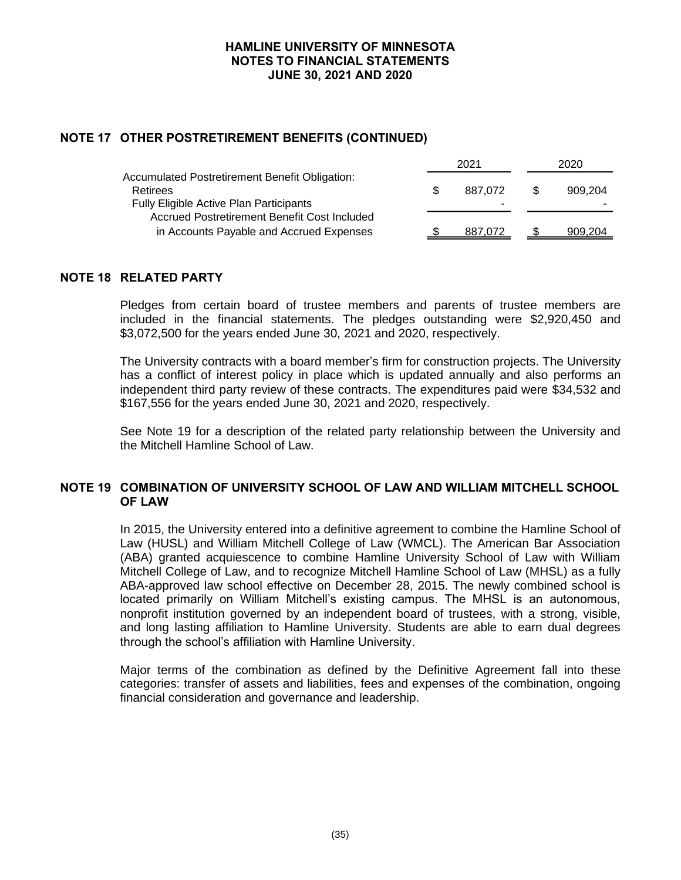## **NOTE 17 OTHER POSTRETIREMENT BENEFITS (CONTINUED)**

|                                                                                                                     | 2021    | 2020 |         |  |  |
|---------------------------------------------------------------------------------------------------------------------|---------|------|---------|--|--|
| <b>Accumulated Postretirement Benefit Obligation:</b><br>Retirees<br><b>Fully Eligible Active Plan Participants</b> | 887.072 |      | 909.204 |  |  |
| Accrued Postretirement Benefit Cost Included                                                                        |         |      |         |  |  |
| in Accounts Payable and Accrued Expenses                                                                            | 887,072 |      | 909.204 |  |  |

## **NOTE 18 RELATED PARTY**

Pledges from certain board of trustee members and parents of trustee members are included in the financial statements. The pledges outstanding were \$2,920,450 and \$3,072,500 for the years ended June 30, 2021 and 2020, respectively.

The University contracts with a board member's firm for construction projects. The University has a conflict of interest policy in place which is updated annually and also performs an independent third party review of these contracts. The expenditures paid were \$34,532 and \$167,556 for the years ended June 30, 2021 and 2020, respectively.

See Note 19 for a description of the related party relationship between the University and the Mitchell Hamline School of Law.

## **NOTE 19 COMBINATION OF UNIVERSITY SCHOOL OF LAW AND WILLIAM MITCHELL SCHOOL OF LAW**

In 2015, the University entered into a definitive agreement to combine the Hamline School of Law (HUSL) and William Mitchell College of Law (WMCL). The American Bar Association (ABA) granted acquiescence to combine Hamline University School of Law with William Mitchell College of Law, and to recognize Mitchell Hamline School of Law (MHSL) as a fully ABA-approved law school effective on December 28, 2015. The newly combined school is located primarily on William Mitchell's existing campus. The MHSL is an autonomous, nonprofit institution governed by an independent board of trustees, with a strong, visible, and long lasting affiliation to Hamline University. Students are able to earn dual degrees through the school's affiliation with Hamline University.

Major terms of the combination as defined by the Definitive Agreement fall into these categories: transfer of assets and liabilities, fees and expenses of the combination, ongoing financial consideration and governance and leadership.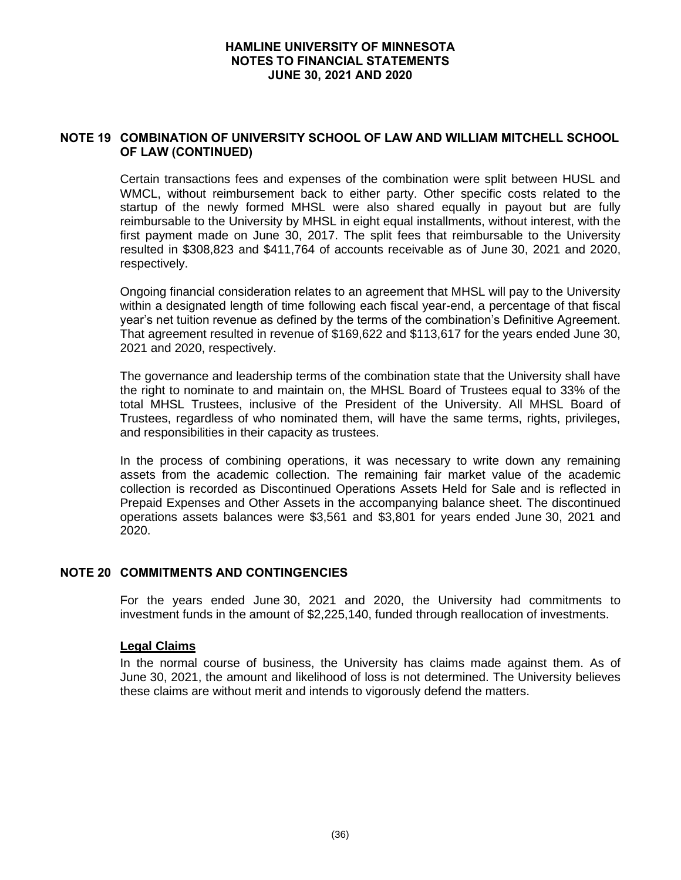## **NOTE 19 COMBINATION OF UNIVERSITY SCHOOL OF LAW AND WILLIAM MITCHELL SCHOOL OF LAW (CONTINUED)**

Certain transactions fees and expenses of the combination were split between HUSL and WMCL, without reimbursement back to either party. Other specific costs related to the startup of the newly formed MHSL were also shared equally in payout but are fully reimbursable to the University by MHSL in eight equal installments, without interest, with the first payment made on June 30, 2017. The split fees that reimbursable to the University resulted in \$308,823 and \$411,764 of accounts receivable as of June 30, 2021 and 2020, respectively.

Ongoing financial consideration relates to an agreement that MHSL will pay to the University within a designated length of time following each fiscal year-end, a percentage of that fiscal year's net tuition revenue as defined by the terms of the combination's Definitive Agreement. That agreement resulted in revenue of \$169,622 and \$113,617 for the years ended June 30, 2021 and 2020, respectively.

The governance and leadership terms of the combination state that the University shall have the right to nominate to and maintain on, the MHSL Board of Trustees equal to 33% of the total MHSL Trustees, inclusive of the President of the University. All MHSL Board of Trustees, regardless of who nominated them, will have the same terms, rights, privileges, and responsibilities in their capacity as trustees.

In the process of combining operations, it was necessary to write down any remaining assets from the academic collection. The remaining fair market value of the academic collection is recorded as Discontinued Operations Assets Held for Sale and is reflected in Prepaid Expenses and Other Assets in the accompanying balance sheet. The discontinued operations assets balances were \$3,561 and \$3,801 for years ended June 30, 2021 and 2020.

## **NOTE 20 COMMITMENTS AND CONTINGENCIES**

For the years ended June 30, 2021 and 2020, the University had commitments to investment funds in the amount of \$2,225,140, funded through reallocation of investments.

#### **Legal Claims**

In the normal course of business, the University has claims made against them. As of June 30, 2021, the amount and likelihood of loss is not determined. The University believes these claims are without merit and intends to vigorously defend the matters.